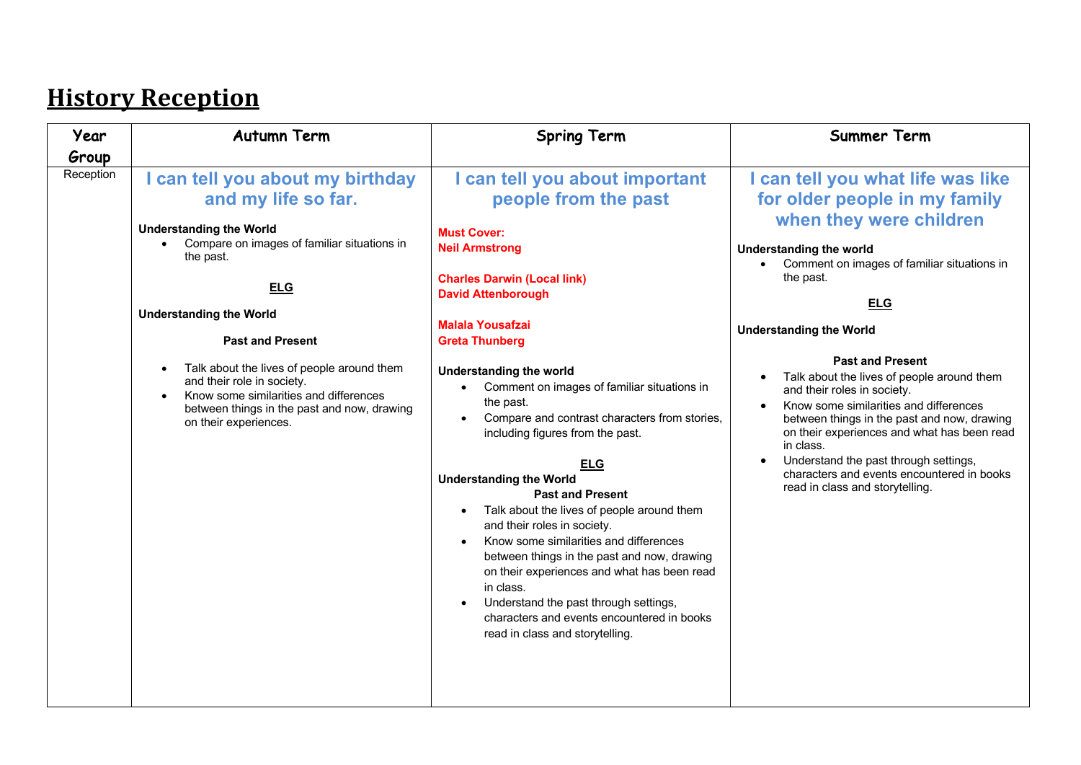# **History Reception**

| Year      | <b>Autumn Term</b>                                                                                                                                                                                                                                                                                                                                                                                                                        | <b>Spring Term</b>                                                                                                                                                                                                                                                                                                                                                                                                                                                                                                                                                                                                                                                                                                                                                                                                                                           | <b>Summer Term</b>                                                                                                                                                                                                                                                                                                                                                                                                                                                                                                                                                                                                                                                                   |
|-----------|-------------------------------------------------------------------------------------------------------------------------------------------------------------------------------------------------------------------------------------------------------------------------------------------------------------------------------------------------------------------------------------------------------------------------------------------|--------------------------------------------------------------------------------------------------------------------------------------------------------------------------------------------------------------------------------------------------------------------------------------------------------------------------------------------------------------------------------------------------------------------------------------------------------------------------------------------------------------------------------------------------------------------------------------------------------------------------------------------------------------------------------------------------------------------------------------------------------------------------------------------------------------------------------------------------------------|--------------------------------------------------------------------------------------------------------------------------------------------------------------------------------------------------------------------------------------------------------------------------------------------------------------------------------------------------------------------------------------------------------------------------------------------------------------------------------------------------------------------------------------------------------------------------------------------------------------------------------------------------------------------------------------|
| Group     |                                                                                                                                                                                                                                                                                                                                                                                                                                           |                                                                                                                                                                                                                                                                                                                                                                                                                                                                                                                                                                                                                                                                                                                                                                                                                                                              |                                                                                                                                                                                                                                                                                                                                                                                                                                                                                                                                                                                                                                                                                      |
| Reception | can tell you about my birthday<br>and my life so far.<br><b>Understanding the World</b><br>Compare on images of familiar situations in<br>$\bullet$<br>the past.<br><b>ELG</b><br><b>Understanding the World</b><br><b>Past and Present</b><br>Talk about the lives of people around them<br>and their role in society.<br>Know some similarities and differences<br>between things in the past and now, drawing<br>on their experiences. | I can tell you about important<br>people from the past<br><b>Must Cover:</b><br><b>Neil Armstrong</b><br><b>Charles Darwin (Local link)</b><br><b>David Attenborough</b><br>Malala Yousafzai<br><b>Greta Thunberg</b><br><b>Understanding the world</b><br>Comment on images of familiar situations in<br>$\bullet$<br>the past.<br>Compare and contrast characters from stories,<br>including figures from the past.<br><b>ELG</b><br><b>Understanding the World</b><br><b>Past and Present</b><br>Talk about the lives of people around them<br>and their roles in society.<br>Know some similarities and differences<br>between things in the past and now, drawing<br>on their experiences and what has been read<br>in class.<br>Understand the past through settings,<br>characters and events encountered in books<br>read in class and storytelling. | can tell you what life was like<br>for older people in my family<br>when they were children<br><b>Understanding the world</b><br>Comment on images of familiar situations in<br>$\bullet$<br>the past.<br><b>ELG</b><br><b>Understanding the World</b><br><b>Past and Present</b><br>Talk about the lives of people around them<br>$\bullet$<br>and their roles in society.<br>Know some similarities and differences<br>$\bullet$<br>between things in the past and now, drawing<br>on their experiences and what has been read<br>in class.<br>Understand the past through settings,<br>$\bullet$<br>characters and events encountered in books<br>read in class and storytelling. |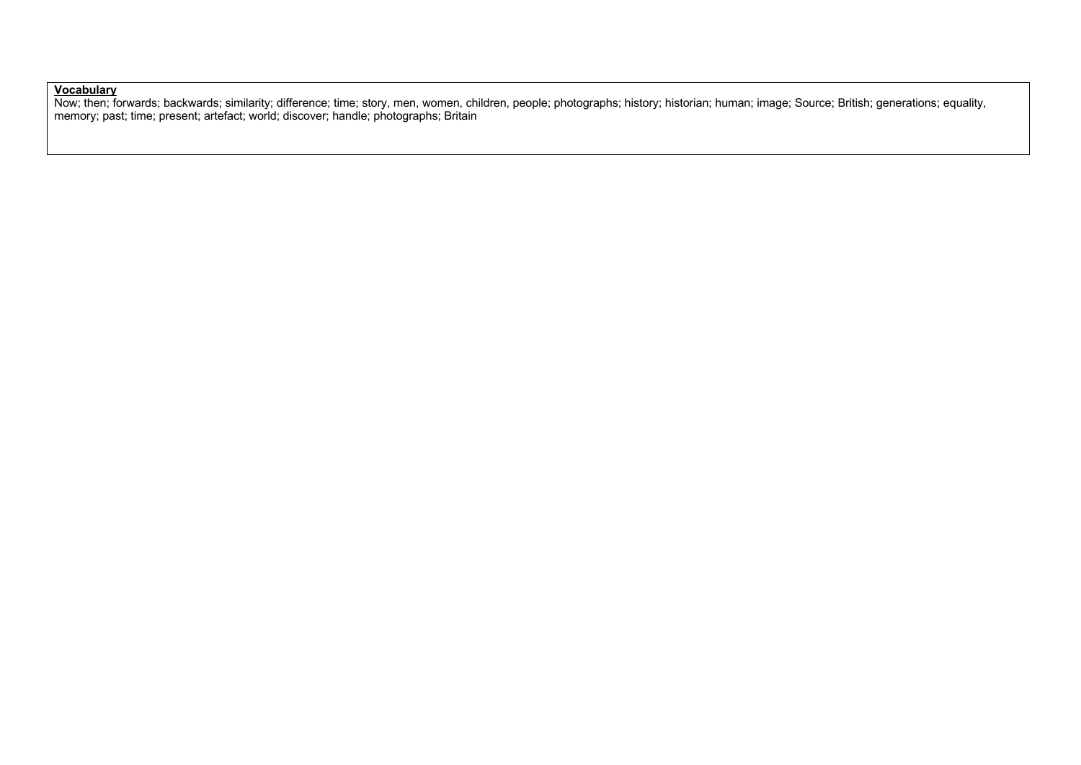### **Vocabulary**

Now; then; forwards; backwards; similarity; difference; time; story, men, women, children, people; photographs; history; historian; human; image; Source; British; generations; equality, memory; past; time; present; artefact; world; discover; handle; photographs; Britain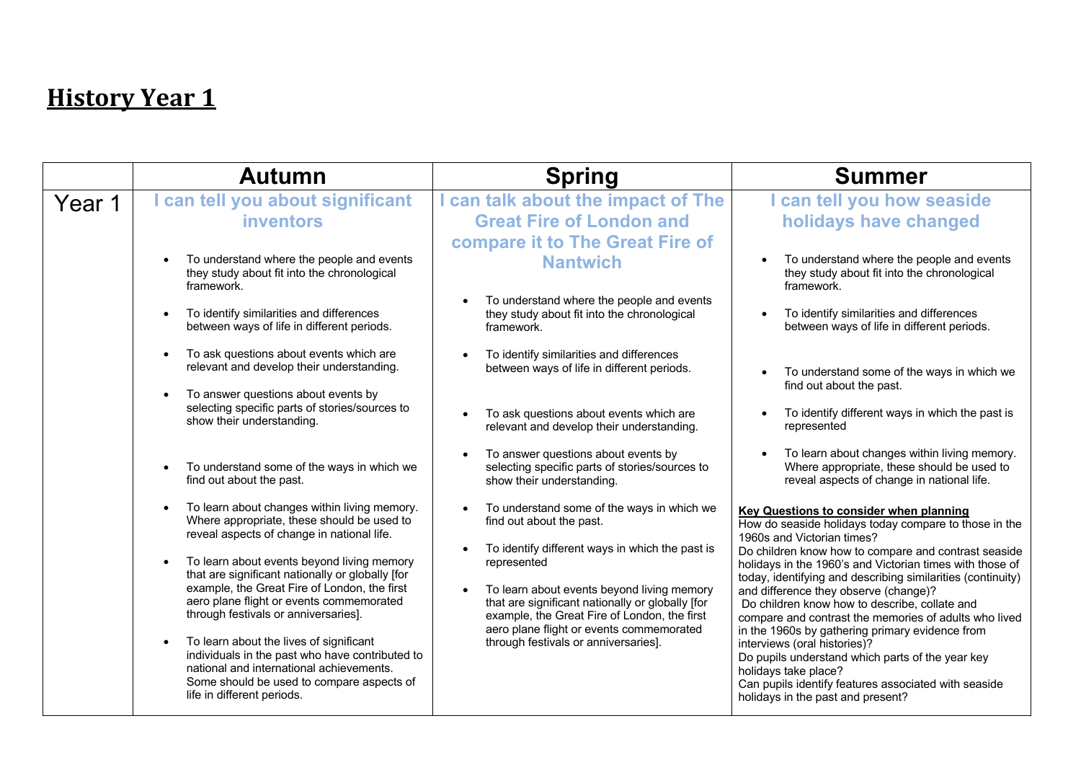|        | <b>Autumn</b>                                                                                                                                                                                                                                                                                                                                                                                                                                                                                                                                                                                                                              | <b>Spring</b>                                                                                                                                                                                                                                                                                                                                                                               | <b>Summer</b>                                                                                                                                                                                                                                                                                                                                                                                                                                                                                                                                                                                                                                                                                                                           |
|--------|--------------------------------------------------------------------------------------------------------------------------------------------------------------------------------------------------------------------------------------------------------------------------------------------------------------------------------------------------------------------------------------------------------------------------------------------------------------------------------------------------------------------------------------------------------------------------------------------------------------------------------------------|---------------------------------------------------------------------------------------------------------------------------------------------------------------------------------------------------------------------------------------------------------------------------------------------------------------------------------------------------------------------------------------------|-----------------------------------------------------------------------------------------------------------------------------------------------------------------------------------------------------------------------------------------------------------------------------------------------------------------------------------------------------------------------------------------------------------------------------------------------------------------------------------------------------------------------------------------------------------------------------------------------------------------------------------------------------------------------------------------------------------------------------------------|
| Year 1 | can tell you about significant<br>inventors                                                                                                                                                                                                                                                                                                                                                                                                                                                                                                                                                                                                | I can talk about the impact of The<br><b>Great Fire of London and</b>                                                                                                                                                                                                                                                                                                                       | I can tell you how seaside<br>holidays have changed                                                                                                                                                                                                                                                                                                                                                                                                                                                                                                                                                                                                                                                                                     |
|        | To understand where the people and events<br>$\bullet$<br>they study about fit into the chronological<br>framework.<br>To identify similarities and differences<br>$\bullet$<br>between ways of life in different periods.                                                                                                                                                                                                                                                                                                                                                                                                                 | compare it to The Great Fire of<br><b>Nantwich</b><br>To understand where the people and events<br>they study about fit into the chronological<br>framework.                                                                                                                                                                                                                                | To understand where the people and events<br>they study about fit into the chronological<br>framework.<br>To identify similarities and differences<br>between ways of life in different periods.                                                                                                                                                                                                                                                                                                                                                                                                                                                                                                                                        |
|        | To ask questions about events which are<br>$\bullet$<br>relevant and develop their understanding.<br>To answer questions about events by<br>selecting specific parts of stories/sources to<br>show their understanding.                                                                                                                                                                                                                                                                                                                                                                                                                    | To identify similarities and differences<br>between ways of life in different periods.<br>To ask questions about events which are<br>relevant and develop their understanding.                                                                                                                                                                                                              | To understand some of the ways in which we<br>find out about the past.<br>To identify different ways in which the past is<br>represented                                                                                                                                                                                                                                                                                                                                                                                                                                                                                                                                                                                                |
|        | To understand some of the ways in which we<br>$\bullet$<br>find out about the past.                                                                                                                                                                                                                                                                                                                                                                                                                                                                                                                                                        | To answer questions about events by<br>selecting specific parts of stories/sources to<br>show their understanding.                                                                                                                                                                                                                                                                          | To learn about changes within living memory.<br>Where appropriate, these should be used to<br>reveal aspects of change in national life.                                                                                                                                                                                                                                                                                                                                                                                                                                                                                                                                                                                                |
|        | To learn about changes within living memory.<br>$\bullet$<br>Where appropriate, these should be used to<br>reveal aspects of change in national life.<br>To learn about events beyond living memory<br>$\bullet$<br>that are significant nationally or globally [for<br>example, the Great Fire of London, the first<br>aero plane flight or events commemorated<br>through festivals or anniversaries].<br>To learn about the lives of significant<br>$\bullet$<br>individuals in the past who have contributed to<br>national and international achievements.<br>Some should be used to compare aspects of<br>life in different periods. | To understand some of the ways in which we<br>find out about the past.<br>To identify different ways in which the past is<br>represented<br>To learn about events beyond living memory<br>$\bullet$<br>that are significant nationally or globally [for<br>example, the Great Fire of London, the first<br>aero plane flight or events commemorated<br>through festivals or anniversaries]. | <b>Key Questions to consider when planning</b><br>How do seaside holidays today compare to those in the<br>1960s and Victorian times?<br>Do children know how to compare and contrast seaside<br>holidays in the 1960's and Victorian times with those of<br>today, identifying and describing similarities (continuity)<br>and difference they observe (change)?<br>Do children know how to describe, collate and<br>compare and contrast the memories of adults who lived<br>in the 1960s by gathering primary evidence from<br>interviews (oral histories)?<br>Do pupils understand which parts of the year key<br>holidays take place?<br>Can pupils identify features associated with seaside<br>holidays in the past and present? |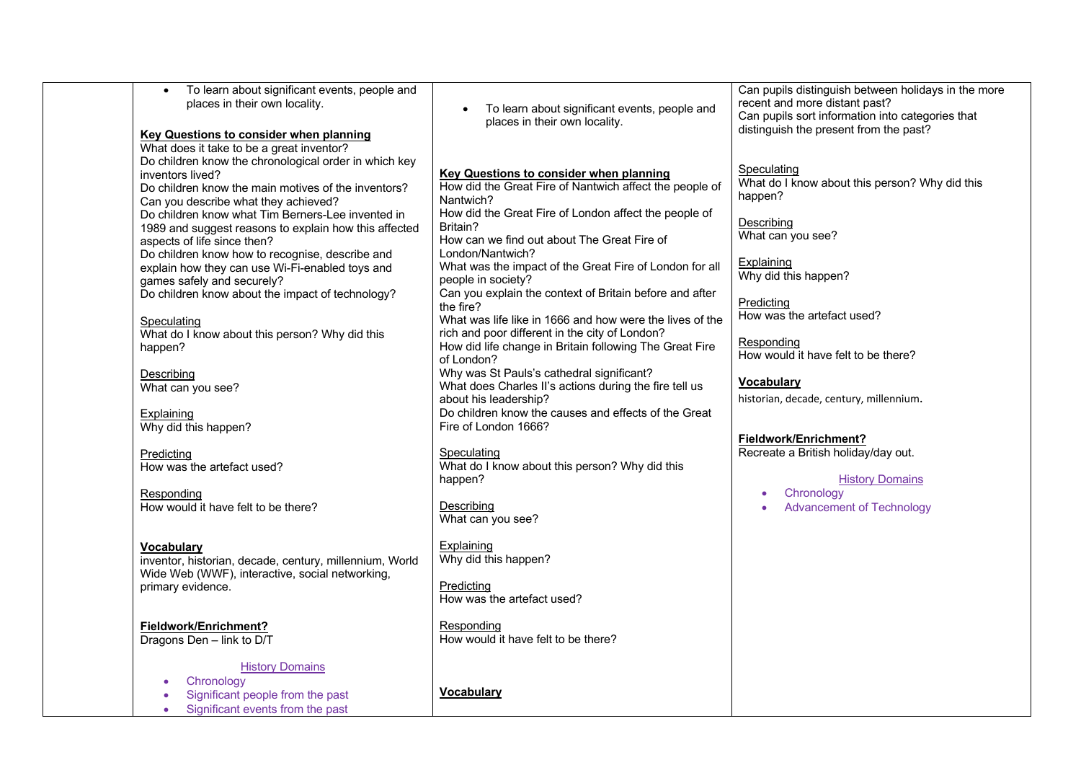| To learn about significant events, people and<br>places in their own locality.<br><b>Key Questions to consider when planning</b><br>What does it take to be a great inventor?                                                                                                                                                                                                                                               | To learn about significant events, people and<br>places in their own locality.                                                                                                                                                                                                                                            | Can pupils distinguish between holidays in the more<br>recent and more distant past?<br>Can pupils sort information into categories that<br>distinguish the present from the past? |
|-----------------------------------------------------------------------------------------------------------------------------------------------------------------------------------------------------------------------------------------------------------------------------------------------------------------------------------------------------------------------------------------------------------------------------|---------------------------------------------------------------------------------------------------------------------------------------------------------------------------------------------------------------------------------------------------------------------------------------------------------------------------|------------------------------------------------------------------------------------------------------------------------------------------------------------------------------------|
| Do children know the chronological order in which key<br>inventors lived?<br>Do children know the main motives of the inventors?<br>Can you describe what they achieved?<br>Do children know what Tim Berners-Lee invented in<br>1989 and suggest reasons to explain how this affected<br>aspects of life since then?<br>Do children know how to recognise, describe and<br>explain how they can use Wi-Fi-enabled toys and | <b>Key Questions to consider when planning</b><br>How did the Great Fire of Nantwich affect the people of<br>Nantwich?<br>How did the Great Fire of London affect the people of<br>Britain?<br>How can we find out about The Great Fire of<br>London/Nantwich?<br>What was the impact of the Great Fire of London for all | Speculating<br>What do I know about this person? Why did this<br>happen?<br>Describing<br>What can you see?<br>Explaining                                                          |
| games safely and securely?<br>Do children know about the impact of technology?                                                                                                                                                                                                                                                                                                                                              | people in society?<br>Can you explain the context of Britain before and after<br>the fire?                                                                                                                                                                                                                                | Why did this happen?<br>Predicting<br>How was the artefact used?                                                                                                                   |
| Speculating<br>What do I know about this person? Why did this<br>happen?                                                                                                                                                                                                                                                                                                                                                    | What was life like in 1666 and how were the lives of the<br>rich and poor different in the city of London?<br>How did life change in Britain following The Great Fire<br>of London?                                                                                                                                       | Responding<br>How would it have felt to be there?                                                                                                                                  |
| Describing<br>What can you see?                                                                                                                                                                                                                                                                                                                                                                                             | Why was St Pauls's cathedral significant?<br>What does Charles II's actions during the fire tell us<br>about his leadership?                                                                                                                                                                                              | <b>Vocabulary</b><br>historian, decade, century, millennium.                                                                                                                       |
| Explaining<br>Why did this happen?                                                                                                                                                                                                                                                                                                                                                                                          | Do children know the causes and effects of the Great<br>Fire of London 1666?                                                                                                                                                                                                                                              | Fieldwork/Enrichment?                                                                                                                                                              |
| Predicting<br>How was the artefact used?                                                                                                                                                                                                                                                                                                                                                                                    | Speculating<br>What do I know about this person? Why did this<br>happen?                                                                                                                                                                                                                                                  | Recreate a British holiday/day out.<br><b>History Domains</b>                                                                                                                      |
| Responding<br>How would it have felt to be there?                                                                                                                                                                                                                                                                                                                                                                           | Describing<br>What can you see?                                                                                                                                                                                                                                                                                           | Chronology<br>$\bullet$<br><b>Advancement of Technology</b>                                                                                                                        |
| Vocabulary<br>inventor, historian, decade, century, millennium, World<br>Wide Web (WWF), interactive, social networking,<br>primary evidence.                                                                                                                                                                                                                                                                               | Explaining<br>Why did this happen?<br>Predicting                                                                                                                                                                                                                                                                          |                                                                                                                                                                                    |
| Fieldwork/Enrichment?<br>Dragons Den - link to D/T                                                                                                                                                                                                                                                                                                                                                                          | How was the artefact used?<br>Responding<br>How would it have felt to be there?                                                                                                                                                                                                                                           |                                                                                                                                                                                    |
| <b>History Domains</b><br>Chronology<br>Significant people from the past<br>Significant events from the past                                                                                                                                                                                                                                                                                                                | Vocabulary                                                                                                                                                                                                                                                                                                                |                                                                                                                                                                                    |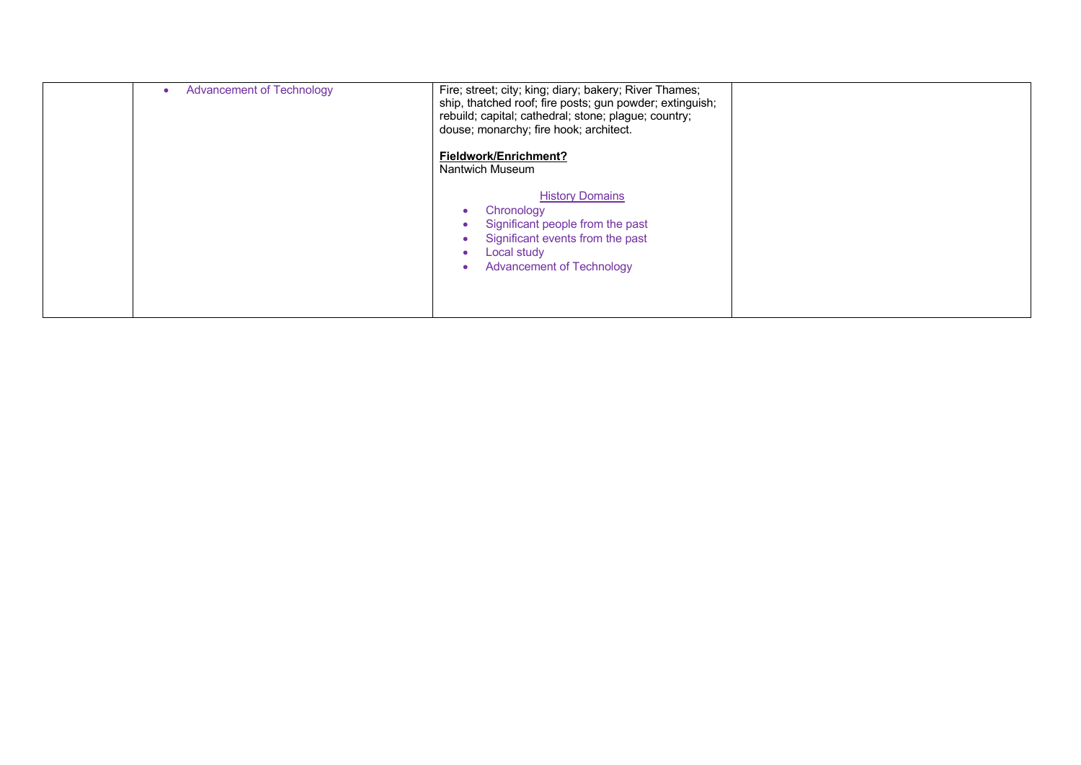| <b>Advancement of Technology</b> | Fire; street; city; king; diary; bakery; River Thames;<br>ship, thatched roof; fire posts; gun powder; extinguish;<br>rebuild; capital; cathedral; stone; plague; country;<br>douse; monarchy; fire hook; architect. |  |
|----------------------------------|----------------------------------------------------------------------------------------------------------------------------------------------------------------------------------------------------------------------|--|
|                                  | Fieldwork/Enrichment?<br>Nantwich Museum                                                                                                                                                                             |  |
|                                  | <b>History Domains</b><br>Chronology<br>Significant people from the past<br>Significant events from the past<br><b>Local study</b><br><b>Advancement of Technology</b>                                               |  |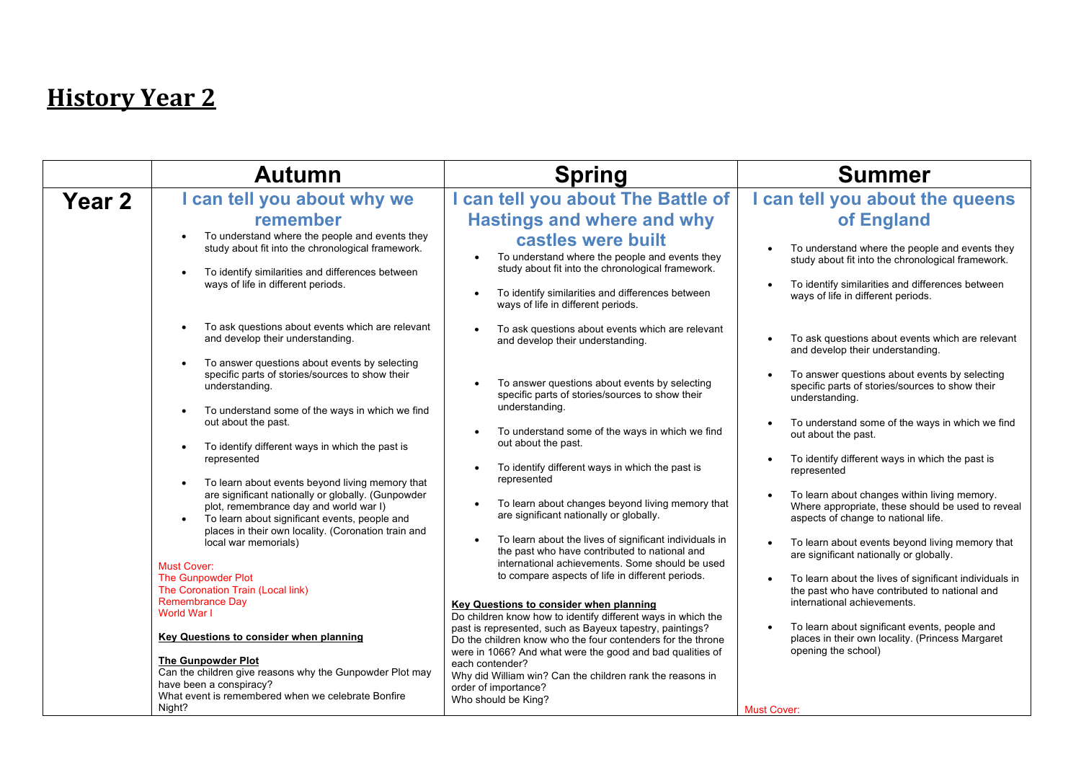| <b>Year 2</b> | I can tell you about why we                                                                                                                                                                                                                                                                                                                                                                                                                                                                                                                                                                                                                                                                                                                                                                                                                                                                                                                                                                                                        |                                                                                                                                                                                                                                                                                                                                                                                                                                                                                                                                                                                                                                                                                                                                                                                                                                                                                                                                                                                                                                                                                                                                                                                                               | <b>Summer</b>                                                                                                                                                                                                                                                                                                                                                                                                                                                                                                                                                                                                                                                                                                                                                                                                                                                                                                                                                                                                                                                                                     |
|---------------|------------------------------------------------------------------------------------------------------------------------------------------------------------------------------------------------------------------------------------------------------------------------------------------------------------------------------------------------------------------------------------------------------------------------------------------------------------------------------------------------------------------------------------------------------------------------------------------------------------------------------------------------------------------------------------------------------------------------------------------------------------------------------------------------------------------------------------------------------------------------------------------------------------------------------------------------------------------------------------------------------------------------------------|---------------------------------------------------------------------------------------------------------------------------------------------------------------------------------------------------------------------------------------------------------------------------------------------------------------------------------------------------------------------------------------------------------------------------------------------------------------------------------------------------------------------------------------------------------------------------------------------------------------------------------------------------------------------------------------------------------------------------------------------------------------------------------------------------------------------------------------------------------------------------------------------------------------------------------------------------------------------------------------------------------------------------------------------------------------------------------------------------------------------------------------------------------------------------------------------------------------|---------------------------------------------------------------------------------------------------------------------------------------------------------------------------------------------------------------------------------------------------------------------------------------------------------------------------------------------------------------------------------------------------------------------------------------------------------------------------------------------------------------------------------------------------------------------------------------------------------------------------------------------------------------------------------------------------------------------------------------------------------------------------------------------------------------------------------------------------------------------------------------------------------------------------------------------------------------------------------------------------------------------------------------------------------------------------------------------------|
|               | remember<br>To understand where the people and events they<br>study about fit into the chronological framework.<br>To identify similarities and differences between<br>ways of life in different periods.<br>To ask questions about events which are relevant<br>and develop their understanding.<br>To answer questions about events by selecting<br>specific parts of stories/sources to show their<br>understanding.<br>To understand some of the ways in which we find<br>out about the past.<br>To identify different ways in which the past is<br>represented<br>To learn about events beyond living memory that<br>are significant nationally or globally. (Gunpowder<br>plot, remembrance day and world war I)<br>To learn about significant events, people and<br>places in their own locality. (Coronation train and<br>local war memorials)<br><b>Must Cover:</b><br>The Gunpowder Plot<br>The Coronation Train (Local link)<br><b>Remembrance Day</b><br>World War I<br><b>Key Questions to consider when planning</b> | can tell you about The Battle of<br><b>Hastings and where and why</b><br>castles were built<br>To understand where the people and events they<br>study about fit into the chronological framework.<br>To identify similarities and differences between<br>ways of life in different periods.<br>To ask questions about events which are relevant<br>and develop their understanding.<br>To answer questions about events by selecting<br>specific parts of stories/sources to show their<br>understanding.<br>To understand some of the ways in which we find<br>out about the past.<br>To identify different ways in which the past is<br>represented<br>To learn about changes beyond living memory that<br>are significant nationally or globally.<br>To learn about the lives of significant individuals in<br>the past who have contributed to national and<br>international achievements. Some should be used<br>to compare aspects of life in different periods.<br>Key Questions to consider when planning<br>Do children know how to identify different ways in which the<br>past is represented, such as Bayeux tapestry, paintings?<br>Do the children know who the four contenders for the throne | I can tell you about the queens<br>of England<br>To understand where the people and events they<br>study about fit into the chronological framework.<br>To identify similarities and differences between<br>ways of life in different periods.<br>To ask questions about events which are relevant<br>and develop their understanding.<br>To answer questions about events by selecting<br>specific parts of stories/sources to show their<br>understanding.<br>To understand some of the ways in which we find<br>out about the past.<br>To identify different ways in which the past is<br>represented<br>To learn about changes within living memory.<br>Where appropriate, these should be used to reveal<br>aspects of change to national life.<br>To learn about events beyond living memory that<br>are significant nationally or globally.<br>To learn about the lives of significant individuals in<br>the past who have contributed to national and<br>international achievements.<br>To learn about significant events, people and<br>places in their own locality. (Princess Margaret |
|               | <b>The Gunpowder Plot</b><br>Can the children give reasons why the Gunpowder Plot may<br>have been a conspiracy?<br>What event is remembered when we celebrate Bonfire<br>Night?                                                                                                                                                                                                                                                                                                                                                                                                                                                                                                                                                                                                                                                                                                                                                                                                                                                   | were in 1066? And what were the good and bad qualities of<br>each contender?<br>Why did William win? Can the children rank the reasons in<br>order of importance?<br>Who should be King?                                                                                                                                                                                                                                                                                                                                                                                                                                                                                                                                                                                                                                                                                                                                                                                                                                                                                                                                                                                                                      | opening the school)<br><b>Must Cover:</b>                                                                                                                                                                                                                                                                                                                                                                                                                                                                                                                                                                                                                                                                                                                                                                                                                                                                                                                                                                                                                                                         |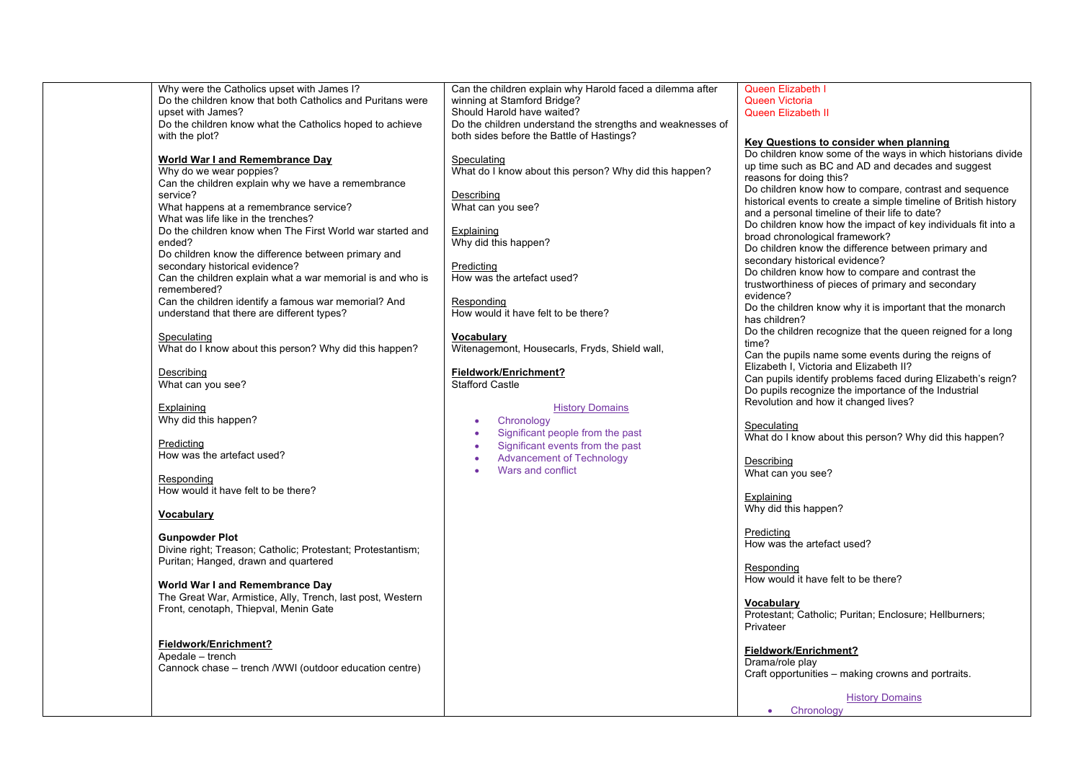| Why were the Catholics upset with James I?                  | Can the children explain why Harold faced a dilemma after  | Queen Elizabeth I                                                |
|-------------------------------------------------------------|------------------------------------------------------------|------------------------------------------------------------------|
| Do the children know that both Catholics and Puritans were  | winning at Stamford Bridge?                                | Queen Victoria                                                   |
| upset with James?                                           | Should Harold have waited?                                 | <b>Queen Elizabeth II</b>                                        |
| Do the children know what the Catholics hoped to achieve    | Do the children understand the strengths and weaknesses of |                                                                  |
| with the plot?                                              | both sides before the Battle of Hastings?                  | Key Questions to consider when planning                          |
|                                                             |                                                            | Do children know some of the ways in which historians divide     |
| <b>World War I and Remembrance Day</b>                      | Speculating                                                | up time such as BC and AD and decades and suggest                |
| Why do we wear poppies?                                     | What do I know about this person? Why did this happen?     |                                                                  |
| Can the children explain why we have a remembrance          |                                                            | reasons for doing this?                                          |
| service?                                                    | Describing                                                 | Do children know how to compare, contrast and sequence           |
| What happens at a remembrance service?                      | What can you see?                                          | historical events to create a simple timeline of British history |
| What was life like in the trenches?                         |                                                            | and a personal timeline of their life to date?                   |
| Do the children know when The First World war started and   | Explaining                                                 | Do children know how the impact of key individuals fit into a    |
| ended?                                                      | Why did this happen?                                       | broad chronological framework?                                   |
| Do children know the difference between primary and         |                                                            | Do children know the difference between primary and              |
| secondary historical evidence?                              | Predicting                                                 | secondary historical evidence?                                   |
| Can the children explain what a war memorial is and who is  | How was the artefact used?                                 | Do children know how to compare and contrast the                 |
| remembered?                                                 |                                                            | trustworthiness of pieces of primary and secondary               |
| Can the children identify a famous war memorial? And        | Responding                                                 | evidence?                                                        |
| understand that there are different types?                  | How would it have felt to be there?                        | Do the children know why it is important that the monarch        |
|                                                             |                                                            | has children?                                                    |
| Speculating                                                 | Vocabulary                                                 | Do the children recognize that the queen reigned for a long      |
| What do I know about this person? Why did this happen?      | Witenagemont, Housecarls, Fryds, Shield wall,              | time?                                                            |
|                                                             |                                                            | Can the pupils name some events during the reigns of             |
| Describing                                                  | Fieldwork/Enrichment?                                      | Elizabeth I, Victoria and Elizabeth II?                          |
| What can you see?                                           | <b>Stafford Castle</b>                                     | Can pupils identify problems faced during Elizabeth's reign?     |
|                                                             |                                                            | Do pupils recognize the importance of the Industrial             |
| Explaining                                                  | <b>History Domains</b>                                     | Revolution and how it changed lives?                             |
| Why did this happen?                                        |                                                            |                                                                  |
|                                                             | Chronology<br>٠                                            | Speculating                                                      |
| Predicting                                                  | Significant people from the past<br>$\bullet$              | What do I know about this person? Why did this happen?           |
| How was the artefact used?                                  | Significant events from the past<br>٠                      |                                                                  |
|                                                             | <b>Advancement of Technology</b><br>$\bullet$              | Describing                                                       |
|                                                             | Wars and conflict                                          | What can you see?                                                |
| Responding<br>How would it have felt to be there?           |                                                            |                                                                  |
|                                                             |                                                            | Explaining                                                       |
|                                                             |                                                            | Why did this happen?                                             |
| <b>Vocabulary</b>                                           |                                                            |                                                                  |
|                                                             |                                                            | Predicting                                                       |
| <b>Gunpowder Plot</b>                                       |                                                            | How was the artefact used?                                       |
| Divine right; Treason; Catholic; Protestant; Protestantism; |                                                            |                                                                  |
| Puritan; Hanged, drawn and quartered                        |                                                            | Responding                                                       |
|                                                             |                                                            | How would it have felt to be there?                              |
| World War I and Remembrance Day                             |                                                            |                                                                  |
| The Great War, Armistice, Ally, Trench, last post, Western  |                                                            | Vocabulary                                                       |
| Front, cenotaph, Thiepval, Menin Gate                       |                                                            | Protestant; Catholic; Puritan; Enclosure; Hellburners;           |
|                                                             |                                                            | Privateer                                                        |
|                                                             |                                                            |                                                                  |
| Fieldwork/Enrichment?                                       |                                                            | Fieldwork/Enrichment?                                            |
| Apedale - trench                                            |                                                            | Drama/role play                                                  |
| Cannock chase – trench /WWI (outdoor education centre)      |                                                            | Craft opportunities – making crowns and portraits.               |
|                                                             |                                                            |                                                                  |
|                                                             |                                                            | <b>History Domains</b>                                           |

• Chronology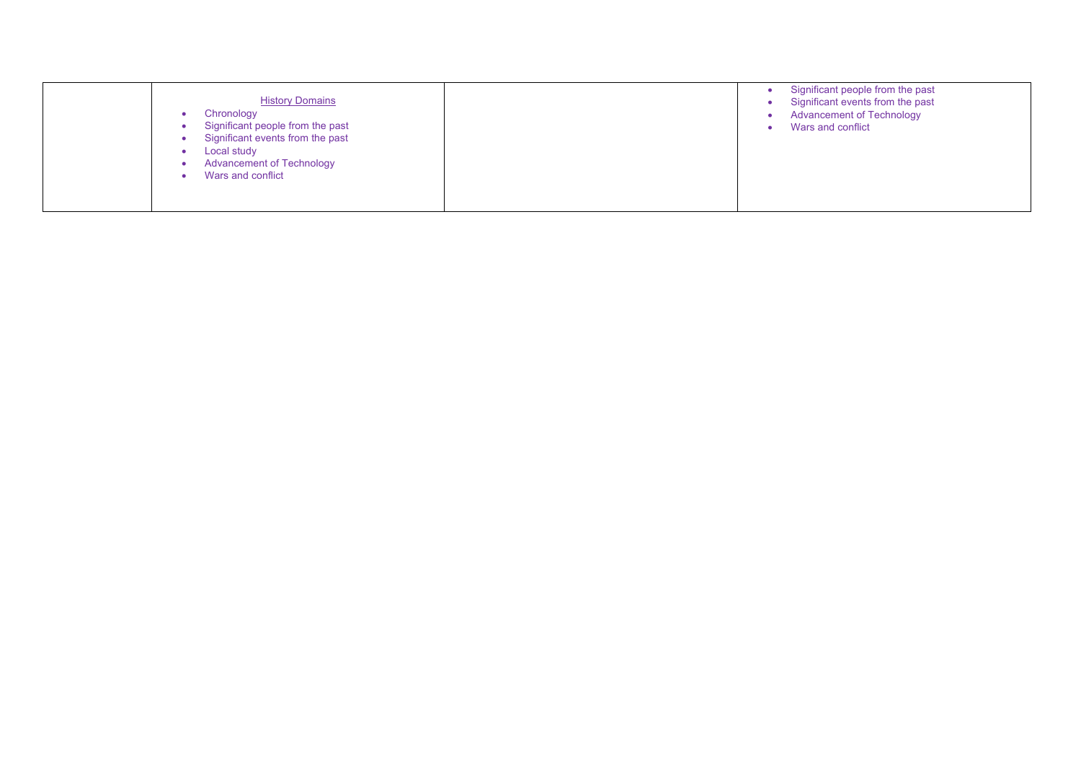| <b>History Domains</b><br>Chronology<br>Significant people from the past<br>Significant events from the past<br>Local study<br><b>Advancement of Technology</b><br>Wars and conflict |  | Significant people from the past<br>Significant events from the past<br><b>Advancement of Technology</b><br>Wars and conflict |
|--------------------------------------------------------------------------------------------------------------------------------------------------------------------------------------|--|-------------------------------------------------------------------------------------------------------------------------------|
|--------------------------------------------------------------------------------------------------------------------------------------------------------------------------------------|--|-------------------------------------------------------------------------------------------------------------------------------|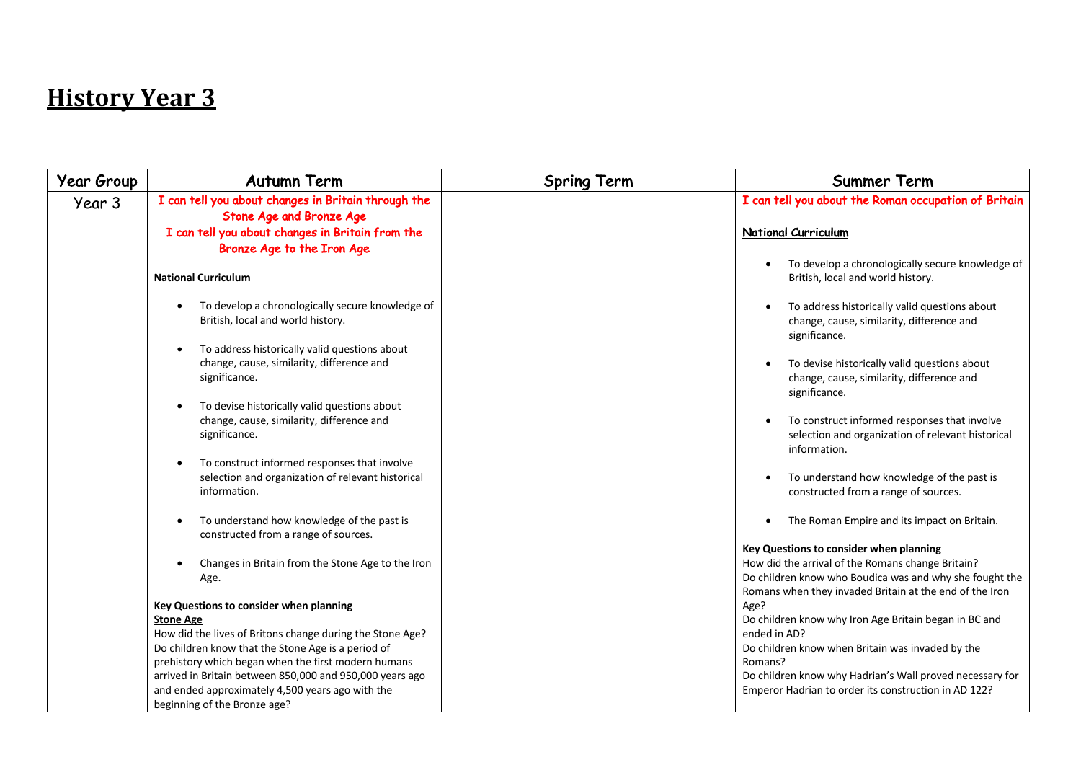| Year Group | <b>Autumn Term</b>                                                                                                | <b>Spring Term</b> | <b>Summer Term</b>                                                                                                                                                      |
|------------|-------------------------------------------------------------------------------------------------------------------|--------------------|-------------------------------------------------------------------------------------------------------------------------------------------------------------------------|
| Year 3     | I can tell you about changes in Britain through the<br><b>Stone Age and Bronze Age</b>                            |                    | I can tell you about the Roman occupation of Britain                                                                                                                    |
|            | I can tell you about changes in Britain from the                                                                  |                    | <b>National Curriculum</b>                                                                                                                                              |
|            | Bronze Age to the Iron Age                                                                                        |                    | To develop a chronologically secure knowledge of                                                                                                                        |
|            | <b>National Curriculum</b>                                                                                        |                    | British, local and world history.                                                                                                                                       |
|            | To develop a chronologically secure knowledge of<br>British, local and world history.                             |                    | To address historically valid questions about<br>change, cause, similarity, difference and<br>significance.                                                             |
|            | To address historically valid questions about<br>change, cause, similarity, difference and<br>significance.       |                    | To devise historically valid questions about<br>change, cause, similarity, difference and<br>significance.                                                              |
|            | To devise historically valid questions about<br>change, cause, similarity, difference and<br>significance.        |                    | To construct informed responses that involve<br>selection and organization of relevant historical<br>information.                                                       |
|            | To construct informed responses that involve<br>selection and organization of relevant historical<br>information. |                    | To understand how knowledge of the past is<br>constructed from a range of sources.                                                                                      |
|            | To understand how knowledge of the past is<br>constructed from a range of sources.                                |                    | The Roman Empire and its impact on Britain.<br>$\bullet$                                                                                                                |
|            |                                                                                                                   |                    | <b>Key Questions to consider when planning</b>                                                                                                                          |
|            | Changes in Britain from the Stone Age to the Iron<br>Age.                                                         |                    | How did the arrival of the Romans change Britain?<br>Do children know who Boudica was and why she fought the<br>Romans when they invaded Britain at the end of the Iron |
|            | <b>Key Questions to consider when planning</b>                                                                    |                    | Age?                                                                                                                                                                    |
|            | <b>Stone Age</b>                                                                                                  |                    | Do children know why Iron Age Britain began in BC and                                                                                                                   |
|            | How did the lives of Britons change during the Stone Age?<br>Do children know that the Stone Age is a period of   |                    | ended in AD?<br>Do children know when Britain was invaded by the                                                                                                        |
|            | prehistory which began when the first modern humans                                                               |                    | Romans?                                                                                                                                                                 |
|            | arrived in Britain between 850,000 and 950,000 years ago                                                          |                    | Do children know why Hadrian's Wall proved necessary for                                                                                                                |
|            | and ended approximately 4,500 years ago with the                                                                  |                    | Emperor Hadrian to order its construction in AD 122?                                                                                                                    |
|            | beginning of the Bronze age?                                                                                      |                    |                                                                                                                                                                         |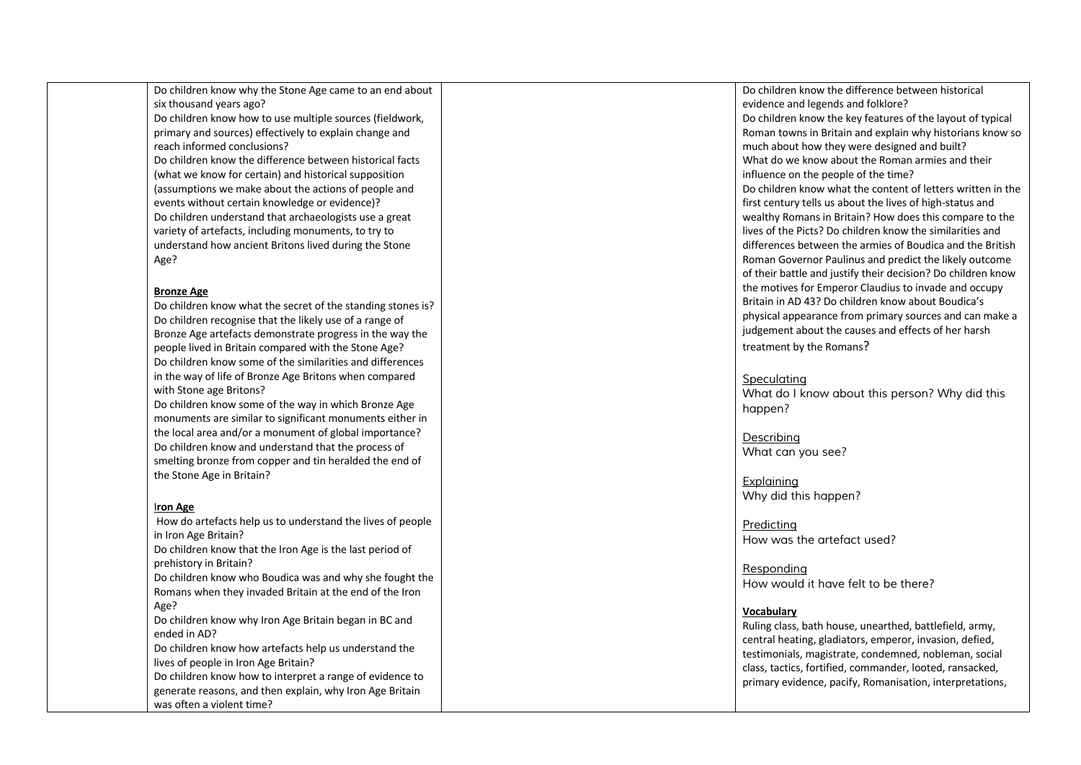Do children know why the Stone Age came to an end about six thousand years ago? Do children know how to use multiple sources (fieldwork, primary and sources) effectively to explain change and reach informed conclusions? Do children know the difference between historical facts (what we know for certain) and historical supposition (assumptions we make about the actions of people and events without certain knowledge or evidence)? Do children understand that archaeologists use a great variety of artefacts, including monuments, to try to understand how ancient Britons lived during the Stone Age?

### **Bronze Age**

Do children know what the secret of the standing stones is? Do children recognise that the likely use of a range of Bronze Age artefacts demonstrate progress in the way the people lived in Britain compared with the Stone Age? Do children know some of the similarities and differences in the way of life of Bronze Age Britons when compared with Stone age Britons?

Do children know some of the way in which Bronze Age monuments are similar to significant monuments either in the local area and/or a monument of global importance? Do children know and understand that the process of smelting bronze from copper and tin heralded the end of the Stone Age in Britain? I**ron Age**

How do artefacts help us to understand the lives of people in Iron Age Britain? Do children know that the Iron Age is the last period of prehistory in Britain? Do children know who Boudica was and why she fought the Romans when they invaded Britain at the end of the Iron Age? Do children know why Iron Age Britain began in BC and ended in AD? Do children know how artefacts help us understand the lives of people in Iron Age Britain? Do children know how to interpret a range of evidence to generate reasons, and then explain, why Iron Age Britain was often a violent time?

Do children know the difference between historical evidence and legends and folklore? Do children know the key features of the layout of typical Roman towns in Britain and explain why historians know so much about how they were designed and built? What do we know about the Roman armies and their influence on the people of the time? Do children know what the content of letters written in the first century tells us about the lives of high -status and wealthy Romans in Britain? How does this compare to the lives of the Picts? Do children know the similarities and differences between the armies of Boudica and the British Roman Governor Paulinus and predict the likely outcome of their battle and justify their decision? Do children know the motives for Emperor Claudius to invade and occupy Britain in AD 43? Do children know about Boudica's physical appearance from primary sources and can make a judgement about the causes and effects of her harsh treatment by the Romans?

### *Speculating*

*What do I know about this person? Why did this happen?*

*Describing What can you see?* 

*Explaining Why did this happen?*

*Predicting How was the artefact used?*

*Responding How would it have felt to be there?*

### **Vocabulary**

Ruling class, bath house, unearthed, battlefield, army, central heating, gladiators, emperor, invasion, defied, testimonials, magistrate, condemned, nobleman, social class, tactics, fortified, commander, looted, ransacked, primary evidence, pacify, Romanisation, interpretations,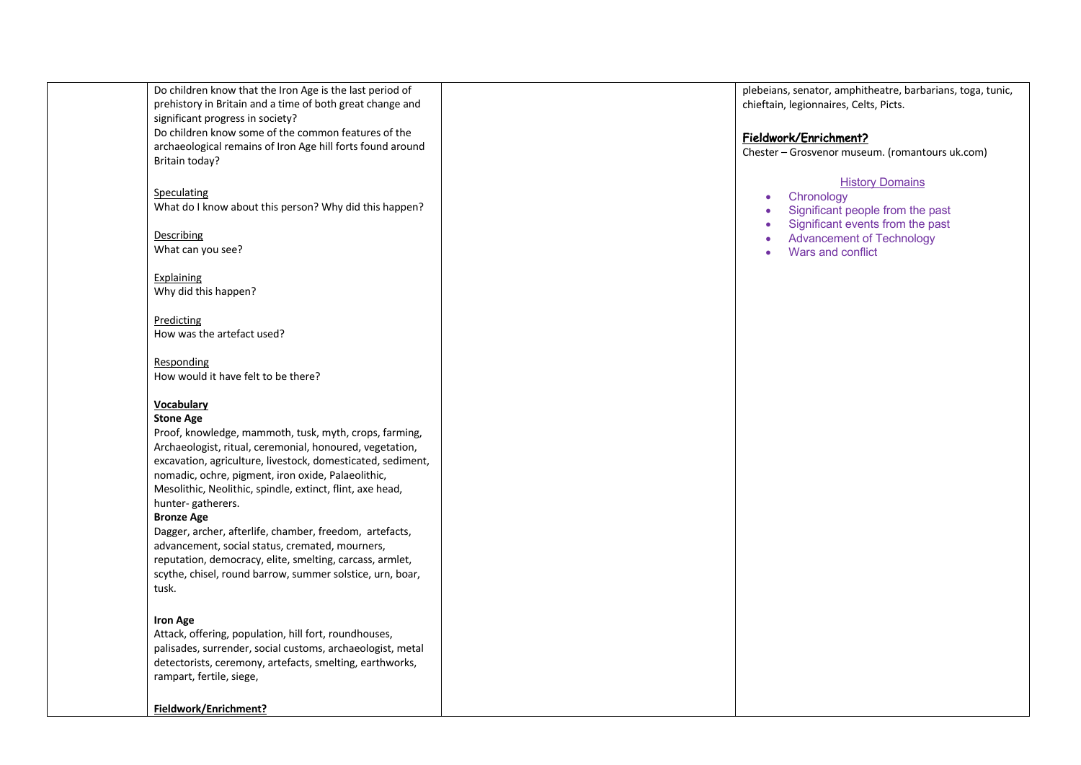| Do children know that the Iron Age is the last period of<br>prehistory in Britain and a time of both great change and<br>significant progress in society?                                                                                                                                                                                                                                                                                                                                                                                                         | plebeians, senator, amphitheatre, barbarians, toga, tunic,<br>chieftain, legionnaires, Celts, Picts.                                                |
|-------------------------------------------------------------------------------------------------------------------------------------------------------------------------------------------------------------------------------------------------------------------------------------------------------------------------------------------------------------------------------------------------------------------------------------------------------------------------------------------------------------------------------------------------------------------|-----------------------------------------------------------------------------------------------------------------------------------------------------|
| Do children know some of the common features of the<br>archaeological remains of Iron Age hill forts found around<br>Britain today?                                                                                                                                                                                                                                                                                                                                                                                                                               | Fieldwork/Enrichment?<br>Chester - Grosvenor museum. (romantours uk.com)                                                                            |
| Speculating<br>What do I know about this person? Why did this happen?<br>Describing                                                                                                                                                                                                                                                                                                                                                                                                                                                                               | <b>History Domains</b><br>Chronology<br>$\bullet$<br>Significant people from the past<br>$\bullet$<br>Significant events from the past<br>$\bullet$ |
| What can you see?                                                                                                                                                                                                                                                                                                                                                                                                                                                                                                                                                 | <b>Advancement of Technology</b><br>Wars and conflict<br>ä                                                                                          |
| Explaining<br>Why did this happen?                                                                                                                                                                                                                                                                                                                                                                                                                                                                                                                                |                                                                                                                                                     |
| Predicting<br>How was the artefact used?                                                                                                                                                                                                                                                                                                                                                                                                                                                                                                                          |                                                                                                                                                     |
| Responding<br>How would it have felt to be there?                                                                                                                                                                                                                                                                                                                                                                                                                                                                                                                 |                                                                                                                                                     |
| <b>Vocabulary</b><br><b>Stone Age</b><br>Proof, knowledge, mammoth, tusk, myth, crops, farming,<br>Archaeologist, ritual, ceremonial, honoured, vegetation,<br>excavation, agriculture, livestock, domesticated, sediment,<br>nomadic, ochre, pigment, iron oxide, Palaeolithic,<br>Mesolithic, Neolithic, spindle, extinct, flint, axe head,<br>hunter-gatherers.<br><b>Bronze Age</b><br>Dagger, archer, afterlife, chamber, freedom, artefacts,<br>advancement, social status, cremated, mourners,<br>reputation, democracy, elite, smelting, carcass, armlet, |                                                                                                                                                     |
| scythe, chisel, round barrow, summer solstice, urn, boar,<br>tusk.                                                                                                                                                                                                                                                                                                                                                                                                                                                                                                |                                                                                                                                                     |
| <b>Iron Age</b><br>Attack, offering, population, hill fort, roundhouses,<br>palisades, surrender, social customs, archaeologist, metal<br>detectorists, ceremony, artefacts, smelting, earthworks,<br>rampart, fertile, siege,                                                                                                                                                                                                                                                                                                                                    |                                                                                                                                                     |
| Fieldwork/Enrichment?                                                                                                                                                                                                                                                                                                                                                                                                                                                                                                                                             |                                                                                                                                                     |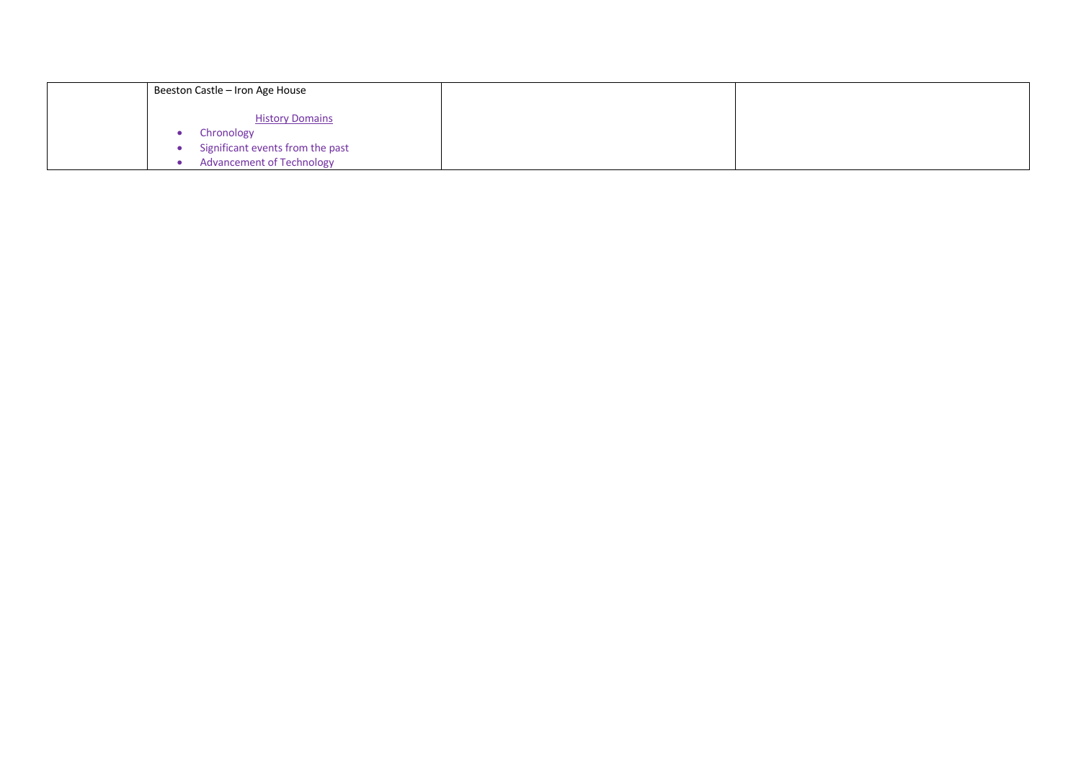| Beeston Castle - Iron Age House                                                                              |  |
|--------------------------------------------------------------------------------------------------------------|--|
| <b>History Domains</b><br>Chronology<br>Significant events from the past<br><b>Advancement of Technology</b> |  |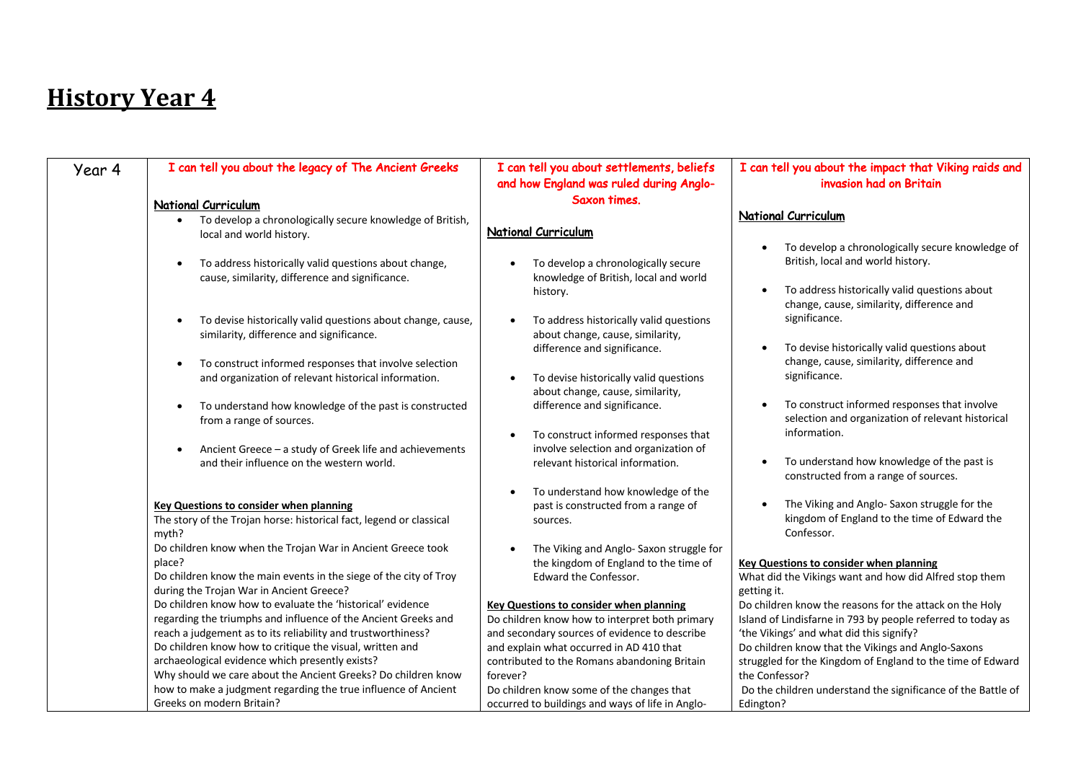| Year 4 | I can tell you about the legacy of The Ancient Greeks                                                                                                                                        | I can tell you about settlements, beliefs                                                                                                         | I can tell you about the impact that Viking raids and                                                                                                                                            |
|--------|----------------------------------------------------------------------------------------------------------------------------------------------------------------------------------------------|---------------------------------------------------------------------------------------------------------------------------------------------------|--------------------------------------------------------------------------------------------------------------------------------------------------------------------------------------------------|
|        |                                                                                                                                                                                              | and how England was ruled during Anglo-                                                                                                           | invasion had on Britain                                                                                                                                                                          |
|        | <b>National Curriculum</b>                                                                                                                                                                   | Saxon times.                                                                                                                                      |                                                                                                                                                                                                  |
|        | To develop a chronologically secure knowledge of British,<br>local and world history.                                                                                                        | <b>National Curriculum</b>                                                                                                                        | National Curriculum                                                                                                                                                                              |
|        | To address historically valid questions about change,<br>$\bullet$<br>cause, similarity, difference and significance.                                                                        | To develop a chronologically secure<br>knowledge of British, local and world<br>history.                                                          | To develop a chronologically secure knowledge of<br>British, local and world history.<br>To address historically valid questions about<br>$\bullet$<br>change, cause, similarity, difference and |
|        | To devise historically valid questions about change, cause,<br>$\bullet$<br>similarity, difference and significance.                                                                         | To address historically valid questions<br>about change, cause, similarity,                                                                       | significance.                                                                                                                                                                                    |
|        | To construct informed responses that involve selection<br>$\bullet$<br>and organization of relevant historical information.                                                                  | difference and significance.<br>To devise historically valid questions<br>about change, cause, similarity,                                        | To devise historically valid questions about<br>$\bullet$<br>change, cause, similarity, difference and<br>significance.                                                                          |
|        | To understand how knowledge of the past is constructed<br>$\bullet$<br>from a range of sources.                                                                                              | difference and significance.<br>To construct informed responses that                                                                              | To construct informed responses that involve<br>$\bullet$<br>selection and organization of relevant historical<br>information.                                                                   |
|        | Ancient Greece - a study of Greek life and achievements<br>and their influence on the western world.                                                                                         | involve selection and organization of<br>relevant historical information.                                                                         | To understand how knowledge of the past is<br>$\bullet$<br>constructed from a range of sources.                                                                                                  |
|        | <b>Key Questions to consider when planning</b><br>The story of the Trojan horse: historical fact, legend or classical<br>myth?                                                               | To understand how knowledge of the<br>past is constructed from a range of<br>sources.                                                             | The Viking and Anglo- Saxon struggle for the<br>kingdom of England to the time of Edward the<br>Confessor.                                                                                       |
|        | Do children know when the Trojan War in Ancient Greece took<br>place?<br>Do children know the main events in the siege of the city of Troy<br>during the Trojan War in Ancient Greece?       | The Viking and Anglo- Saxon struggle for<br>the kingdom of England to the time of<br>Edward the Confessor.                                        | <b>Key Questions to consider when planning</b><br>What did the Vikings want and how did Alfred stop them<br>getting it.                                                                          |
|        | Do children know how to evaluate the 'historical' evidence<br>regarding the triumphs and influence of the Ancient Greeks and<br>reach a judgement as to its reliability and trustworthiness? | <b>Key Questions to consider when planning</b><br>Do children know how to interpret both primary<br>and secondary sources of evidence to describe | Do children know the reasons for the attack on the Holy<br>Island of Lindisfarne in 793 by people referred to today as<br>'the Vikings' and what did this signify?                               |
|        | Do children know how to critique the visual, written and<br>archaeological evidence which presently exists?<br>Why should we care about the Ancient Greeks? Do children know                 | and explain what occurred in AD 410 that<br>contributed to the Romans abandoning Britain<br>forever?                                              | Do children know that the Vikings and Anglo-Saxons<br>struggled for the Kingdom of England to the time of Edward<br>the Confessor?                                                               |
|        | how to make a judgment regarding the true influence of Ancient<br>Greeks on modern Britain?                                                                                                  | Do children know some of the changes that<br>occurred to buildings and ways of life in Anglo-                                                     | Do the children understand the significance of the Battle of<br>Edington?                                                                                                                        |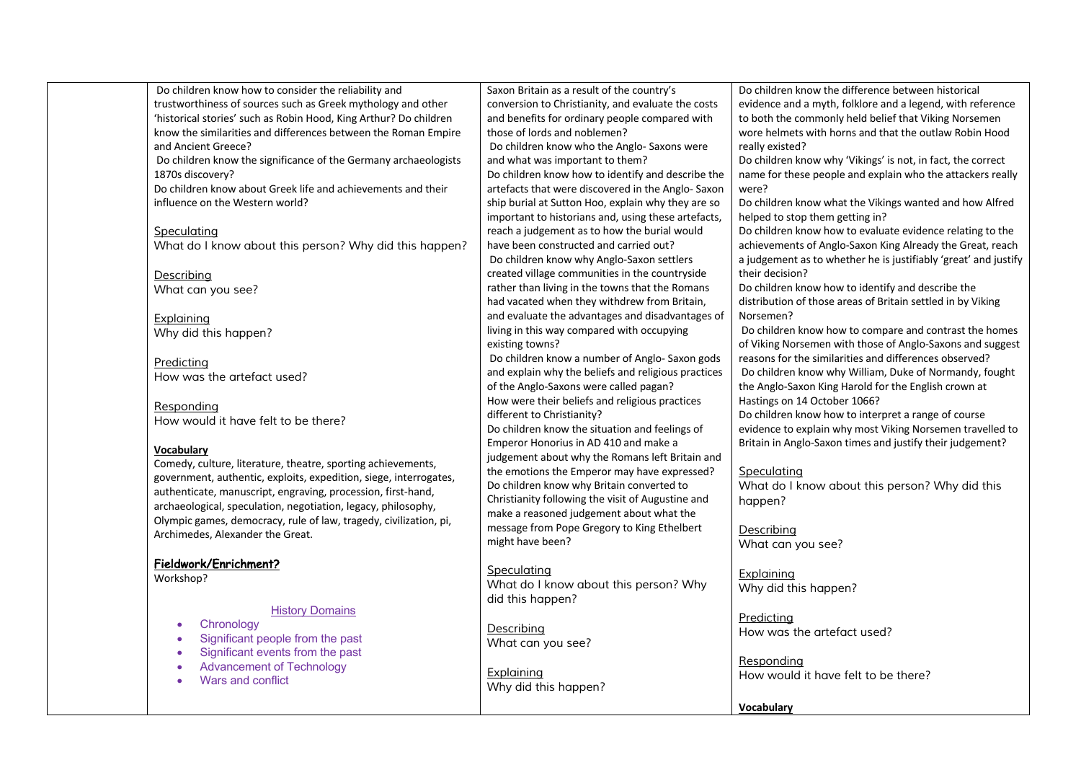| Do children know how to consider the reliability and              | Saxon Britain as a result of the country's          | Do children know the difference between historical              |
|-------------------------------------------------------------------|-----------------------------------------------------|-----------------------------------------------------------------|
| trustworthiness of sources such as Greek mythology and other      | conversion to Christianity, and evaluate the costs  | evidence and a myth, folklore and a legend, with reference      |
| 'historical stories' such as Robin Hood, King Arthur? Do children | and benefits for ordinary people compared with      | to both the commonly held belief that Viking Norsemen           |
| know the similarities and differences between the Roman Empire    | those of lords and noblemen?                        | wore helmets with horns and that the outlaw Robin Hood          |
| and Ancient Greece?                                               | Do children know who the Anglo- Saxons were         | really existed?                                                 |
| Do children know the significance of the Germany archaeologists   | and what was important to them?                     | Do children know why 'Vikings' is not, in fact, the correct     |
| 1870s discovery?                                                  | Do children know how to identify and describe the   | name for these people and explain who the attackers really      |
| Do children know about Greek life and achievements and their      | artefacts that were discovered in the Anglo-Saxon   | were?                                                           |
| influence on the Western world?                                   | ship burial at Sutton Hoo, explain why they are so  | Do children know what the Vikings wanted and how Alfred         |
|                                                                   | important to historians and, using these artefacts, | helped to stop them getting in?                                 |
| Speculating                                                       | reach a judgement as to how the burial would        | Do children know how to evaluate evidence relating to the       |
| What do I know about this person? Why did this happen?            | have been constructed and carried out?              | achievements of Anglo-Saxon King Already the Great, reach       |
|                                                                   | Do children know why Anglo-Saxon settlers           | a judgement as to whether he is justifiably 'great' and justify |
| Describing                                                        | created village communities in the countryside      | their decision?                                                 |
| What can you see?                                                 | rather than living in the towns that the Romans     | Do children know how to identify and describe the               |
|                                                                   | had vacated when they withdrew from Britain,        | distribution of those areas of Britain settled in by Viking     |
|                                                                   | and evaluate the advantages and disadvantages of    | Norsemen?                                                       |
| Explaining                                                        | living in this way compared with occupying          | Do children know how to compare and contrast the homes          |
| Why did this happen?                                              | existing towns?                                     | of Viking Norsemen with those of Anglo-Saxons and suggest       |
|                                                                   | Do children know a number of Anglo-Saxon gods       | reasons for the similarities and differences observed?          |
| Predicting                                                        | and explain why the beliefs and religious practices | Do children know why William, Duke of Normandy, fought          |
| How was the artefact used?                                        | of the Anglo-Saxons were called pagan?              | the Anglo-Saxon King Harold for the English crown at            |
|                                                                   | How were their beliefs and religious practices      | Hastings on 14 October 1066?                                    |
| Responding                                                        |                                                     | Do children know how to interpret a range of course             |
| How would it have felt to be there?                               | different to Christianity?                          |                                                                 |
|                                                                   | Do children know the situation and feelings of      | evidence to explain why most Viking Norsemen travelled to       |
| <b>Vocabulary</b>                                                 | Emperor Honorius in AD 410 and make a               | Britain in Anglo-Saxon times and justify their judgement?       |
| Comedy, culture, literature, theatre, sporting achievements,      | judgement about why the Romans left Britain and     |                                                                 |
| government, authentic, exploits, expedition, siege, interrogates, | the emotions the Emperor may have expressed?        | Speculating                                                     |
| authenticate, manuscript, engraving, procession, first-hand,      | Do children know why Britain converted to           | What do I know about this person? Why did this                  |
| archaeological, speculation, negotiation, legacy, philosophy,     | Christianity following the visit of Augustine and   | happen?                                                         |
| Olympic games, democracy, rule of law, tragedy, civilization, pi, | make a reasoned judgement about what the            |                                                                 |
| Archimedes, Alexander the Great.                                  | message from Pope Gregory to King Ethelbert         | Describing                                                      |
|                                                                   | might have been?                                    | What can you see?                                               |
| Fieldwork/Enrichment?                                             |                                                     |                                                                 |
| Workshop?                                                         | Speculating                                         | Explaining                                                      |
|                                                                   | What do I know about this person? Why               | Why did this happen?                                            |
|                                                                   | did this happen?                                    |                                                                 |
| <b>History Domains</b>                                            |                                                     | <b>Predicting</b>                                               |
| Chronology<br>$\bullet$                                           | Describing                                          | How was the artefact used?                                      |
| Significant people from the past<br>$\bullet$                     | What can you see?                                   |                                                                 |
| Significant events from the past<br>$\bullet$                     |                                                     | Responding                                                      |
| <b>Advancement of Technology</b><br>$\bullet$                     | <b>Explaining</b>                                   | How would it have felt to be there?                             |
| Wars and conflict<br>$\bullet$                                    | Why did this happen?                                |                                                                 |
|                                                                   |                                                     |                                                                 |
|                                                                   |                                                     | <b>Vocabulary</b>                                               |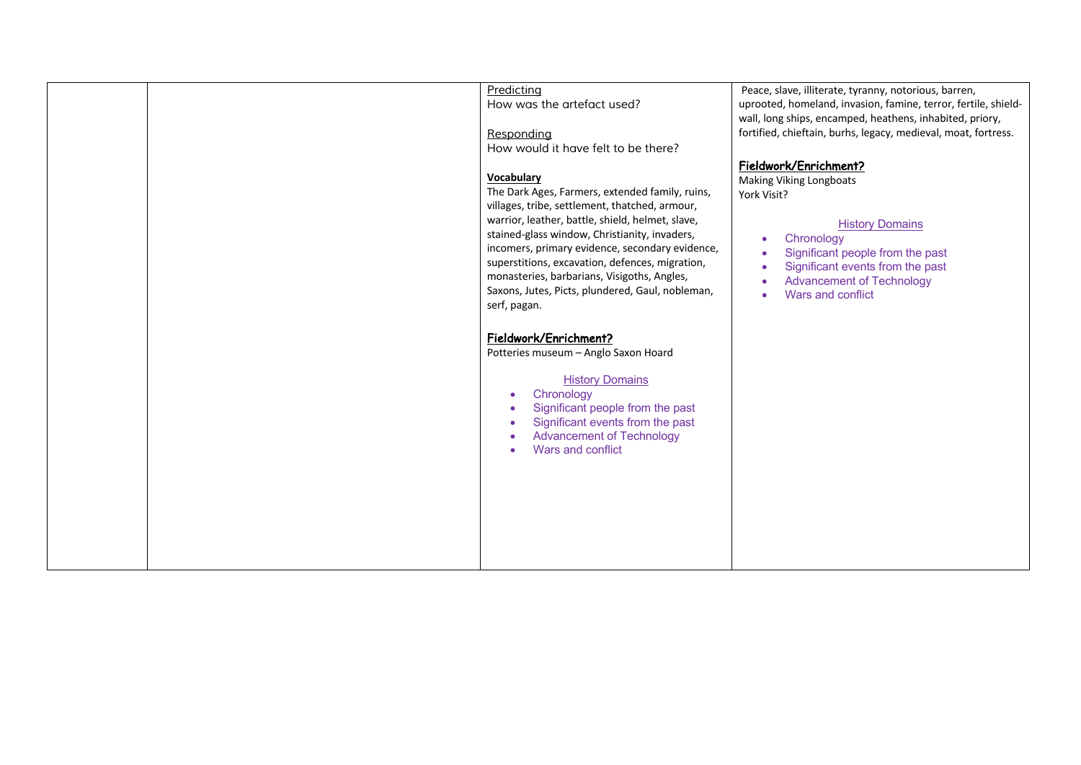|  | Predicting                                                                                        | Peace, slave, illiterate, tyranny, notorious, barren,                |
|--|---------------------------------------------------------------------------------------------------|----------------------------------------------------------------------|
|  | How was the artefact used?                                                                        | uprooted, homeland, invasion, famine, terror, fertile, shield-       |
|  |                                                                                                   | wall, long ships, encamped, heathens, inhabited, priory,             |
|  | Responding                                                                                        | fortified, chieftain, burhs, legacy, medieval, moat, fortress.       |
|  | How would it have felt to be there?                                                               |                                                                      |
|  |                                                                                                   | Fieldwork/Enrichment?                                                |
|  | Vocabulary                                                                                        | Making Viking Longboats                                              |
|  | The Dark Ages, Farmers, extended family, ruins,                                                   | York Visit?                                                          |
|  | villages, tribe, settlement, thatched, armour,                                                    |                                                                      |
|  | warrior, leather, battle, shield, helmet, slave,<br>stained-glass window, Christianity, invaders, | <b>History Domains</b>                                               |
|  | incomers, primary evidence, secondary evidence,                                                   | Chronology                                                           |
|  | superstitions, excavation, defences, migration,                                                   | Significant people from the past                                     |
|  | monasteries, barbarians, Visigoths, Angles,                                                       | Significant events from the past<br><b>Advancement of Technology</b> |
|  | Saxons, Jutes, Picts, plundered, Gaul, nobleman,                                                  | Wars and conflict                                                    |
|  | serf, pagan.                                                                                      |                                                                      |
|  |                                                                                                   |                                                                      |
|  | Fieldwork/Enrichment?                                                                             |                                                                      |
|  | Potteries museum - Anglo Saxon Hoard                                                              |                                                                      |
|  |                                                                                                   |                                                                      |
|  | <b>History Domains</b>                                                                            |                                                                      |
|  | Chronology<br>$\bullet$                                                                           |                                                                      |
|  | Significant people from the past<br>Significant events from the past                              |                                                                      |
|  | <b>Advancement of Technology</b>                                                                  |                                                                      |
|  | Wars and conflict                                                                                 |                                                                      |
|  |                                                                                                   |                                                                      |
|  |                                                                                                   |                                                                      |
|  |                                                                                                   |                                                                      |
|  |                                                                                                   |                                                                      |
|  |                                                                                                   |                                                                      |
|  |                                                                                                   |                                                                      |
|  |                                                                                                   |                                                                      |
|  |                                                                                                   |                                                                      |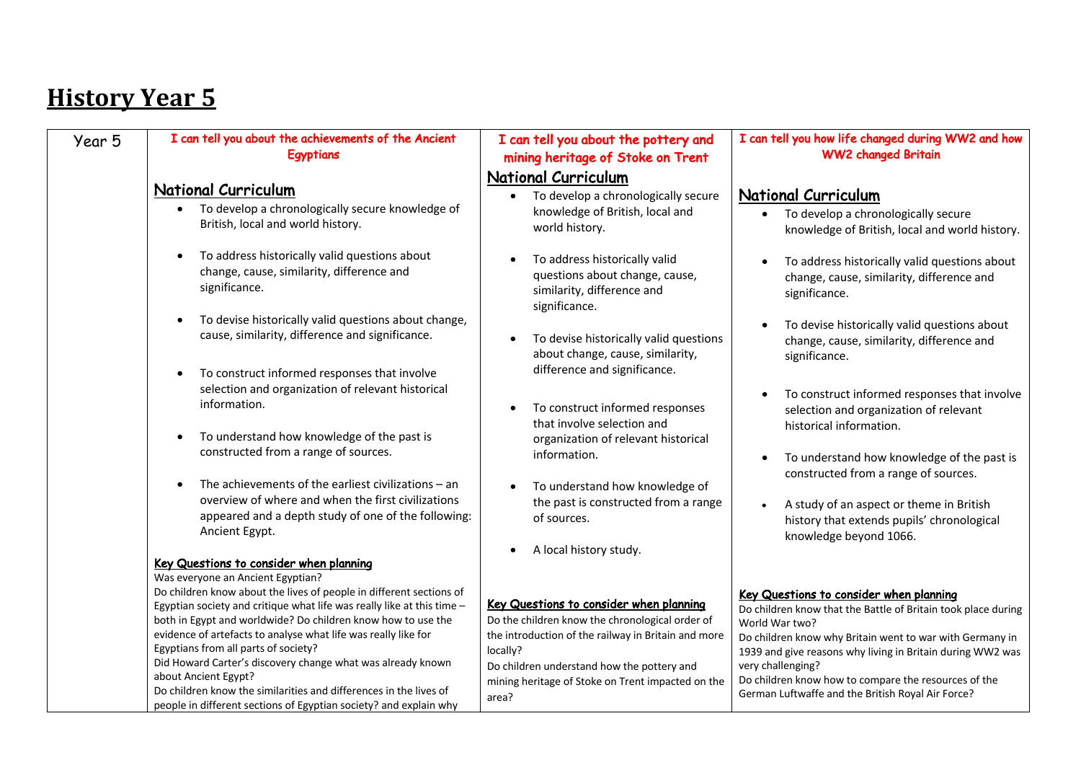| Year 5 | I can tell you about the achievements of the Ancient<br>Egyptians                                                                                                                                                                                                                                                                                                                                                                                                                                                                                                                  | I can tell you about the pottery and<br>mining heritage of Stoke on Trent                                                                                                                                                                                                                                                                                                                                                                                                                                             | I can tell you how life changed during WW2 and how<br><b>WW2 changed Britain</b>                                                                                                                                                                                                                                                                                                                                                                                                                                                                            |
|--------|------------------------------------------------------------------------------------------------------------------------------------------------------------------------------------------------------------------------------------------------------------------------------------------------------------------------------------------------------------------------------------------------------------------------------------------------------------------------------------------------------------------------------------------------------------------------------------|-----------------------------------------------------------------------------------------------------------------------------------------------------------------------------------------------------------------------------------------------------------------------------------------------------------------------------------------------------------------------------------------------------------------------------------------------------------------------------------------------------------------------|-------------------------------------------------------------------------------------------------------------------------------------------------------------------------------------------------------------------------------------------------------------------------------------------------------------------------------------------------------------------------------------------------------------------------------------------------------------------------------------------------------------------------------------------------------------|
|        | <b>National Curriculum</b><br>To develop a chronologically secure knowledge of<br>$\bullet$<br>British, local and world history.<br>To address historically valid questions about<br>$\bullet$<br>change, cause, similarity, difference and<br>significance.<br>To devise historically valid questions about change,<br>cause, similarity, difference and significance.<br>To construct informed responses that involve<br>selection and organization of relevant historical<br>information.<br>To understand how knowledge of the past is<br>constructed from a range of sources. | <b>National Curriculum</b><br>To develop a chronologically secure<br>knowledge of British, local and<br>world history.<br>To address historically valid<br>$\bullet$<br>questions about change, cause,<br>similarity, difference and<br>significance.<br>To devise historically valid questions<br>$\bullet$<br>about change, cause, similarity,<br>difference and significance.<br>To construct informed responses<br>$\bullet$<br>that involve selection and<br>organization of relevant historical<br>information. | <b>National Curriculum</b><br>To develop a chronologically secure<br>knowledge of British, local and world history.<br>To address historically valid questions about<br>change, cause, similarity, difference and<br>significance.<br>To devise historically valid questions about<br>change, cause, similarity, difference and<br>significance.<br>To construct informed responses that involve<br>selection and organization of relevant<br>historical information.<br>To understand how knowledge of the past is<br>constructed from a range of sources. |
|        | The achievements of the earliest civilizations $-$ an<br>overview of where and when the first civilizations<br>appeared and a depth study of one of the following:<br>Ancient Egypt.<br>Key Questions to consider when planning<br>Was everyone an Ancient Egyptian?                                                                                                                                                                                                                                                                                                               | To understand how knowledge of<br>$\bullet$<br>the past is constructed from a range<br>of sources.<br>A local history study.                                                                                                                                                                                                                                                                                                                                                                                          | A study of an aspect or theme in British<br>history that extends pupils' chronological<br>knowledge beyond 1066.                                                                                                                                                                                                                                                                                                                                                                                                                                            |
|        | Do children know about the lives of people in different sections of<br>Egyptian society and critique what life was really like at this time -<br>both in Egypt and worldwide? Do children know how to use the<br>evidence of artefacts to analyse what life was really like for<br>Egyptians from all parts of society?<br>Did Howard Carter's discovery change what was already known<br>about Ancient Egypt?<br>Do children know the similarities and differences in the lives of<br>people in different sections of Egyptian society? and explain why                           | Key Questions to consider when planning<br>Do the children know the chronological order of<br>the introduction of the railway in Britain and more<br>locally?<br>Do children understand how the pottery and<br>mining heritage of Stoke on Trent impacted on the<br>area?                                                                                                                                                                                                                                             | Key Questions to consider when planning<br>Do children know that the Battle of Britain took place during<br>World War two?<br>Do children know why Britain went to war with Germany in<br>1939 and give reasons why living in Britain during WW2 was<br>very challenging?<br>Do children know how to compare the resources of the<br>German Luftwaffe and the British Royal Air Force?                                                                                                                                                                      |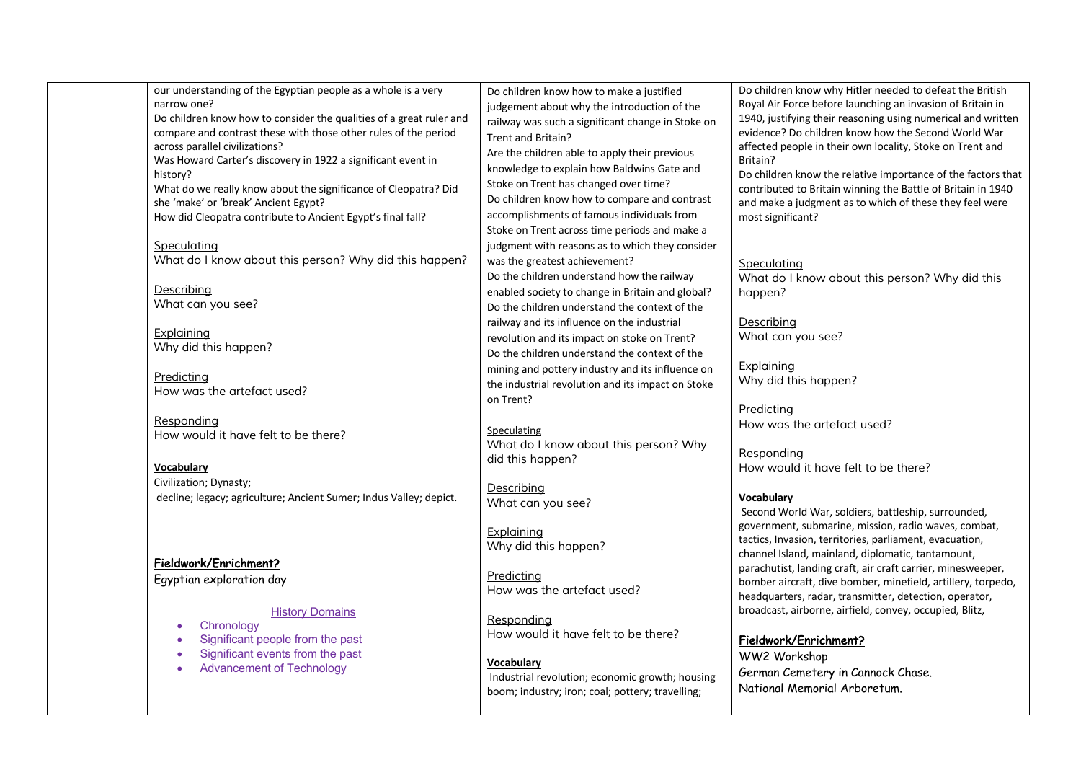| narrow one?<br>across parallel civilizations?<br>history? | our understanding of the Egyptian people as a whole is a very<br>Do children know how to consider the qualities of a great ruler and<br>compare and contrast these with those other rules of the period<br>Was Howard Carter's discovery in 1922 a significant event in<br>What do we really know about the significance of Cleopatra? Did | Do children know how to make a justified<br>judgement about why the introduction of the<br>railway was such a significant change in Stoke on<br>Trent and Britain?<br>Are the children able to apply their previous<br>knowledge to explain how Baldwins Gate and<br>Stoke on Trent has changed over time? | Do children know why Hitler needed to defeat the British<br>Royal Air Force before launching an invasion of Britain in<br>1940, justifying their reasoning using numerical and written<br>evidence? Do children know how the Second World War<br>affected people in their own locality, Stoke on Trent and<br>Britain?<br>Do children know the relative importance of the factors that<br>contributed to Britain winning the Battle of Britain in 1940 |
|-----------------------------------------------------------|--------------------------------------------------------------------------------------------------------------------------------------------------------------------------------------------------------------------------------------------------------------------------------------------------------------------------------------------|------------------------------------------------------------------------------------------------------------------------------------------------------------------------------------------------------------------------------------------------------------------------------------------------------------|--------------------------------------------------------------------------------------------------------------------------------------------------------------------------------------------------------------------------------------------------------------------------------------------------------------------------------------------------------------------------------------------------------------------------------------------------------|
| she 'make' or 'break' Ancient Egypt?<br>Speculating       | How did Cleopatra contribute to Ancient Egypt's final fall?                                                                                                                                                                                                                                                                                | Do children know how to compare and contrast<br>accomplishments of famous individuals from<br>Stoke on Trent across time periods and make a<br>judgment with reasons as to which they consider                                                                                                             | and make a judgment as to which of these they feel were<br>most significant?                                                                                                                                                                                                                                                                                                                                                                           |
| Describing                                                | What do I know about this person? Why did this happen?                                                                                                                                                                                                                                                                                     | was the greatest achievement?<br>Do the children understand how the railway<br>enabled society to change in Britain and global?                                                                                                                                                                            | Speculating<br>What do I know about this person? Why did this<br>happen?                                                                                                                                                                                                                                                                                                                                                                               |
| What can you see?<br>Explaining                           |                                                                                                                                                                                                                                                                                                                                            | Do the children understand the context of the<br>railway and its influence on the industrial<br>revolution and its impact on stoke on Trent?                                                                                                                                                               | Describing<br>What can you see?                                                                                                                                                                                                                                                                                                                                                                                                                        |
| Why did this happen?<br>Predicting                        |                                                                                                                                                                                                                                                                                                                                            | Do the children understand the context of the<br>mining and pottery industry and its influence on                                                                                                                                                                                                          | Explaining<br>Why did this happen?                                                                                                                                                                                                                                                                                                                                                                                                                     |
| How was the artefact used?<br>Responding                  |                                                                                                                                                                                                                                                                                                                                            | the industrial revolution and its impact on Stoke<br>on Trent?                                                                                                                                                                                                                                             | Predicting                                                                                                                                                                                                                                                                                                                                                                                                                                             |
| How would it have felt to be there?                       |                                                                                                                                                                                                                                                                                                                                            | Speculating<br>What do I know about this person? Why<br>did this happen?                                                                                                                                                                                                                                   | How was the artefact used?<br>Responding                                                                                                                                                                                                                                                                                                                                                                                                               |
| Vocabulary<br>Civilization; Dynasty;                      | decline; legacy; agriculture; Ancient Sumer; Indus Valley; depict.                                                                                                                                                                                                                                                                         | Describing<br>What can you see?                                                                                                                                                                                                                                                                            | How would it have felt to be there?<br><b>Vocabulary</b>                                                                                                                                                                                                                                                                                                                                                                                               |
|                                                           |                                                                                                                                                                                                                                                                                                                                            | Explaining<br>Why did this happen?                                                                                                                                                                                                                                                                         | Second World War, soldiers, battleship, surrounded,<br>government, submarine, mission, radio waves, combat,<br>tactics, Invasion, territories, parliament, evacuation,<br>channel Island, mainland, diplomatic, tantamount,                                                                                                                                                                                                                            |
| Fieldwork/Enrichment?<br>Egyptian exploration day         | <b>History Domains</b>                                                                                                                                                                                                                                                                                                                     | Predicting<br>How was the artefact used?                                                                                                                                                                                                                                                                   | parachutist, landing craft, air craft carrier, minesweeper,<br>bomber aircraft, dive bomber, minefield, artillery, torpedo,<br>headquarters, radar, transmitter, detection, operator,<br>broadcast, airborne, airfield, convey, occupied, Blitz,                                                                                                                                                                                                       |
| Chronology                                                | Significant people from the past<br>Significant events from the past                                                                                                                                                                                                                                                                       | Responding<br>How would it have felt to be there?                                                                                                                                                                                                                                                          | Fieldwork/Enrichment?<br>WW2 Workshop                                                                                                                                                                                                                                                                                                                                                                                                                  |
| <b>Advancement of Technology</b><br>$\bullet$             |                                                                                                                                                                                                                                                                                                                                            | Vocabulary<br>Industrial revolution: economic growth: housing                                                                                                                                                                                                                                              | German Cemetery in Cannock Chase.                                                                                                                                                                                                                                                                                                                                                                                                                      |

Industrial revolution; economic growth; housing boom; industry; iron; coal; pottery; travelling;

National Memorial Arboretum.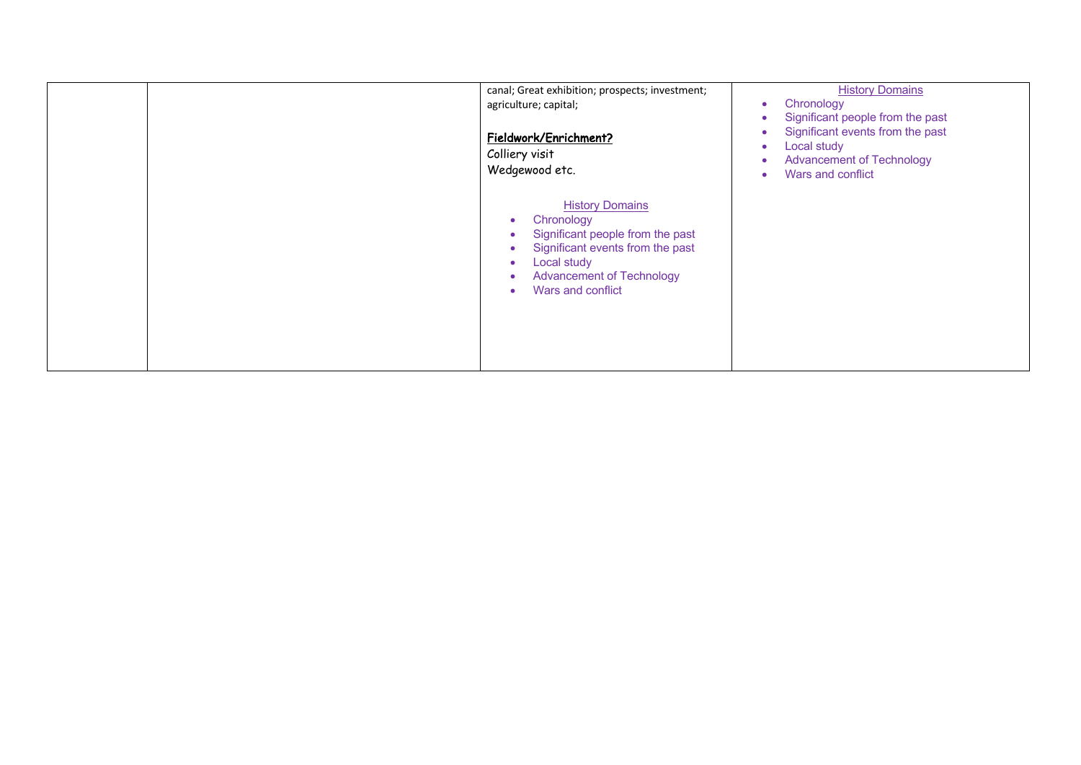| canal; Great exhibition; prospects; investment;<br>agriculture; capital;<br>Fieldwork/Enrichment?<br>Colliery visit<br>Wedgewood etc.                                                                                            | <b>History Domains</b><br>Chronology<br>Significant people from the past<br>Significant events from the past<br>Local study<br>٠<br><b>Advancement of Technology</b><br>Wars and conflict |
|----------------------------------------------------------------------------------------------------------------------------------------------------------------------------------------------------------------------------------|-------------------------------------------------------------------------------------------------------------------------------------------------------------------------------------------|
| <b>History Domains</b><br>Chronology<br>٠<br>Significant people from the past<br>Significant events from the past<br>Local study<br>$\bullet$<br><b>Advancement of Technology</b><br>$\bullet$<br>Wars and conflict<br>$\bullet$ |                                                                                                                                                                                           |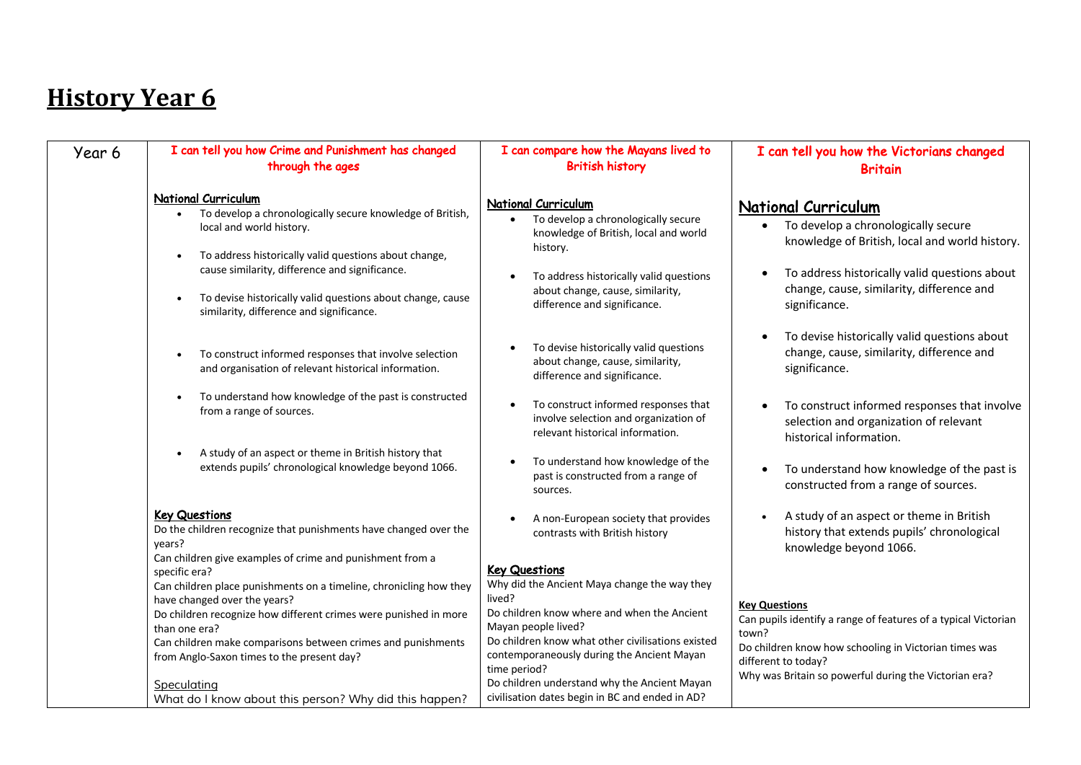| Year 6 | I can tell you how Crime and Punishment has changed<br>through the ages                                                                                                                                                                                                                                                                        | I can compare how the Mayans lived to<br><b>British history</b>                                                                                                                                                                                                                                                         | I can tell you how the Victorians changed<br><b>Britain</b>                                                                                                                                                                                       |
|--------|------------------------------------------------------------------------------------------------------------------------------------------------------------------------------------------------------------------------------------------------------------------------------------------------------------------------------------------------|-------------------------------------------------------------------------------------------------------------------------------------------------------------------------------------------------------------------------------------------------------------------------------------------------------------------------|---------------------------------------------------------------------------------------------------------------------------------------------------------------------------------------------------------------------------------------------------|
|        | National Curriculum<br>To develop a chronologically secure knowledge of British,<br>local and world history.<br>To address historically valid questions about change,<br>cause similarity, difference and significance.<br>To devise historically valid questions about change, cause<br>$\bullet$<br>similarity, difference and significance. | <b>National Curriculum</b><br>To develop a chronologically secure<br>knowledge of British, local and world<br>history.<br>To address historically valid questions<br>about change, cause, similarity,<br>difference and significance.                                                                                   | <b>National Curriculum</b><br>• To develop a chronologically secure<br>knowledge of British, local and world history.<br>To address historically valid questions about<br>$\bullet$<br>change, cause, similarity, difference and<br>significance. |
|        | To construct informed responses that involve selection<br>and organisation of relevant historical information.                                                                                                                                                                                                                                 | To devise historically valid questions<br>about change, cause, similarity,<br>difference and significance.                                                                                                                                                                                                              | To devise historically valid questions about<br>change, cause, similarity, difference and<br>significance.                                                                                                                                        |
|        | To understand how knowledge of the past is constructed<br>from a range of sources.<br>A study of an aspect or theme in British history that                                                                                                                                                                                                    | To construct informed responses that<br>$\bullet$<br>involve selection and organization of<br>relevant historical information.                                                                                                                                                                                          | To construct informed responses that involve<br>selection and organization of relevant<br>historical information.                                                                                                                                 |
|        | extends pupils' chronological knowledge beyond 1066.                                                                                                                                                                                                                                                                                           | To understand how knowledge of the<br>past is constructed from a range of<br>sources.                                                                                                                                                                                                                                   | To understand how knowledge of the past is<br>$\bullet$<br>constructed from a range of sources.                                                                                                                                                   |
|        | <b>Key Questions</b><br>Do the children recognize that punishments have changed over the<br>years?<br>Can children give examples of crime and punishment from a                                                                                                                                                                                | A non-European society that provides<br>contrasts with British history                                                                                                                                                                                                                                                  | A study of an aspect or theme in British<br>history that extends pupils' chronological<br>knowledge beyond 1066.                                                                                                                                  |
|        | specific era?<br>Can children place punishments on a timeline, chronicling how they<br>have changed over the years?<br>Do children recognize how different crimes were punished in more<br>than one era?<br>Can children make comparisons between crimes and punishments<br>from Anglo-Saxon times to the present day?<br>Speculating          | <b>Key Questions</b><br>Why did the Ancient Maya change the way they<br>lived?<br>Do children know where and when the Ancient<br>Mayan people lived?<br>Do children know what other civilisations existed<br>contemporaneously during the Ancient Mayan<br>time period?<br>Do children understand why the Ancient Mayan | <b>Key Questions</b><br>Can pupils identify a range of features of a typical Victorian<br>town?<br>Do children know how schooling in Victorian times was<br>different to today?<br>Why was Britain so powerful during the Victorian era?          |
|        | What do I know about this person? Why did this happen?                                                                                                                                                                                                                                                                                         | civilisation dates begin in BC and ended in AD?                                                                                                                                                                                                                                                                         |                                                                                                                                                                                                                                                   |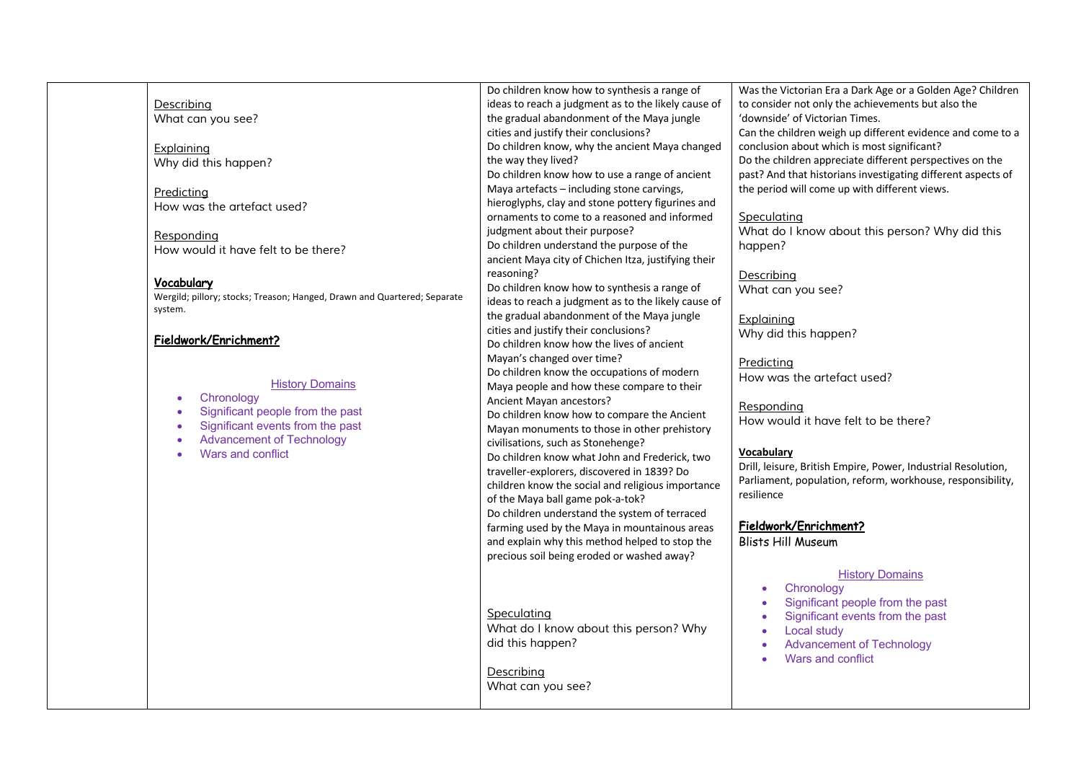| Describing                                                                                                                | Do children know how to synthesis a range of<br>ideas to reach a judgment as to the likely cause of                                                                                                                         | Was the Victorian Era a Dark Age or a Golden Age? Children<br>to consider not only the achievements but also the                                                                                                                                      |
|---------------------------------------------------------------------------------------------------------------------------|-----------------------------------------------------------------------------------------------------------------------------------------------------------------------------------------------------------------------------|-------------------------------------------------------------------------------------------------------------------------------------------------------------------------------------------------------------------------------------------------------|
| What can you see?                                                                                                         | the gradual abandonment of the Maya jungle<br>cities and justify their conclusions?                                                                                                                                         | 'downside' of Victorian Times.<br>Can the children weigh up different evidence and come to a                                                                                                                                                          |
| Explaining<br>Why did this happen?                                                                                        | Do children know, why the ancient Maya changed<br>the way they lived?                                                                                                                                                       | conclusion about which is most significant?<br>Do the children appreciate different perspectives on the                                                                                                                                               |
| Predicting                                                                                                                | Do children know how to use a range of ancient<br>Maya artefacts - including stone carvings,                                                                                                                                | past? And that historians investigating different aspects of<br>the period will come up with different views.                                                                                                                                         |
| How was the artefact used?                                                                                                | hieroglyphs, clay and stone pottery figurines and<br>ornaments to come to a reasoned and informed                                                                                                                           | Speculating                                                                                                                                                                                                                                           |
| Responding<br>How would it have felt to be there?                                                                         | judgment about their purpose?<br>Do children understand the purpose of the<br>ancient Maya city of Chichen Itza, justifying their                                                                                           | What do I know about this person? Why did this<br>happen?                                                                                                                                                                                             |
| Vocabulary<br>Wergild; pillory; stocks; Treason; Hanged, Drawn and Quartered; Separate                                    | reasoning?<br>Do children know how to synthesis a range of<br>ideas to reach a judgment as to the likely cause of                                                                                                           | Describing<br>What can you see?                                                                                                                                                                                                                       |
| system.<br>Fieldwork/Enrichment?                                                                                          | the gradual abandonment of the Maya jungle<br>cities and justify their conclusions?<br>Do children know how the lives of ancient                                                                                            | Explaining<br>Why did this happen?                                                                                                                                                                                                                    |
| <b>History Domains</b>                                                                                                    | Mayan's changed over time?<br>Do children know the occupations of modern<br>Maya people and how these compare to their                                                                                                      | Predicting<br>How was the artefact used?                                                                                                                                                                                                              |
| Chronology<br>$\bullet$<br>Significant people from the past<br>$\bullet$<br>Significant events from the past<br>$\bullet$ | Ancient Mayan ancestors?<br>Do children know how to compare the Ancient<br>Mayan monuments to those in other prehistory                                                                                                     | Responding<br>How would it have felt to be there?                                                                                                                                                                                                     |
| <b>Advancement of Technology</b><br>$\bullet$<br>Wars and conflict<br>$\bullet$                                           | civilisations, such as Stonehenge?<br>Do children know what John and Frederick, two<br>traveller-explorers, discovered in 1839? Do<br>children know the social and religious importance<br>of the Maya ball game pok-a-tok? | <b>Vocabulary</b><br>Drill, leisure, British Empire, Power, Industrial Resolution,<br>Parliament, population, reform, workhouse, responsibility,<br>resilience                                                                                        |
|                                                                                                                           | Do children understand the system of terraced<br>farming used by the Maya in mountainous areas<br>and explain why this method helped to stop the<br>precious soil being eroded or washed away?                              | Fieldwork/Enrichment?<br><b>Blists Hill Museum</b>                                                                                                                                                                                                    |
|                                                                                                                           | Speculating<br>What do I know about this person? Why<br>did this happen?                                                                                                                                                    | <b>History Domains</b><br>Chronology<br>$\bullet$<br>Significant people from the past<br>$\bullet$<br>Significant events from the past<br>Local study<br>$\bullet$<br><b>Advancement of Technology</b><br>$\bullet$<br>Wars and conflict<br>$\bullet$ |
|                                                                                                                           | Describing<br>What can you see?                                                                                                                                                                                             |                                                                                                                                                                                                                                                       |
|                                                                                                                           |                                                                                                                                                                                                                             |                                                                                                                                                                                                                                                       |